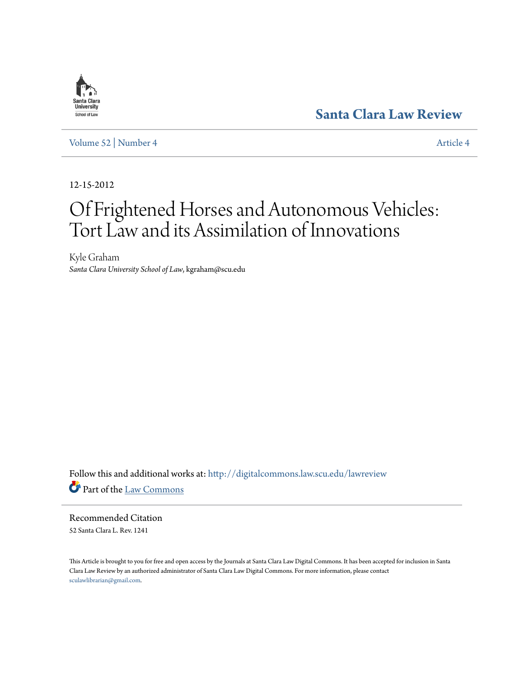## **[Santa Clara Law Review](http://digitalcommons.law.scu.edu/lawreview?utm_source=digitalcommons.law.scu.edu%2Flawreview%2Fvol52%2Fiss4%2F4&utm_medium=PDF&utm_campaign=PDFCoverPages)**

[Volume 52](http://digitalcommons.law.scu.edu/lawreview/vol52?utm_source=digitalcommons.law.scu.edu%2Flawreview%2Fvol52%2Fiss4%2F4&utm_medium=PDF&utm_campaign=PDFCoverPages) | [Number 4](http://digitalcommons.law.scu.edu/lawreview/vol52/iss4?utm_source=digitalcommons.law.scu.edu%2Flawreview%2Fvol52%2Fiss4%2F4&utm_medium=PDF&utm_campaign=PDFCoverPages) [Article 4](http://digitalcommons.law.scu.edu/lawreview/vol52/iss4/4?utm_source=digitalcommons.law.scu.edu%2Flawreview%2Fvol52%2Fiss4%2F4&utm_medium=PDF&utm_campaign=PDFCoverPages)

12-15-2012

# Of Frightened Horses and Autonomous Vehicles: Tort Law and its Assimilation of Innovations

Kyle Graham *Santa Clara University School of Law*, kgraham@scu.edu

Follow this and additional works at: [http://digitalcommons.law.scu.edu/lawreview](http://digitalcommons.law.scu.edu/lawreview?utm_source=digitalcommons.law.scu.edu%2Flawreview%2Fvol52%2Fiss4%2F4&utm_medium=PDF&utm_campaign=PDFCoverPages) Part of the [Law Commons](http://network.bepress.com/hgg/discipline/578?utm_source=digitalcommons.law.scu.edu%2Flawreview%2Fvol52%2Fiss4%2F4&utm_medium=PDF&utm_campaign=PDFCoverPages)

Recommended Citation 52 Santa Clara L. Rev. 1241

This Article is brought to you for free and open access by the Journals at Santa Clara Law Digital Commons. It has been accepted for inclusion in Santa Clara Law Review by an authorized administrator of Santa Clara Law Digital Commons. For more information, please contact [sculawlibrarian@gmail.com](mailto:sculawlibrarian@gmail.com).

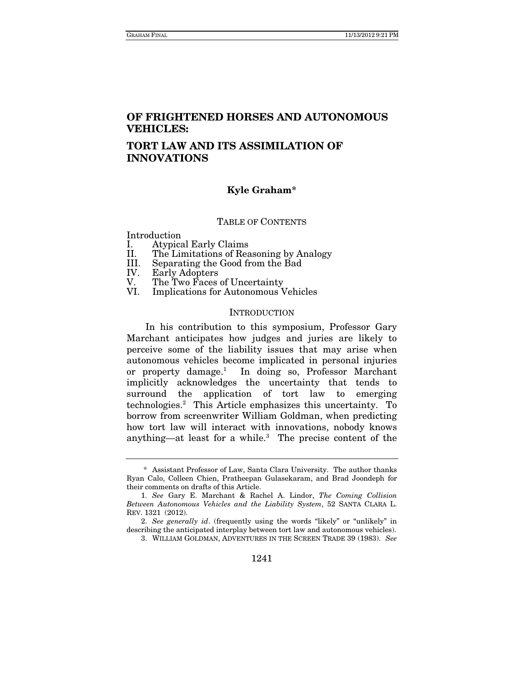### **OF FRIGHTENED HORSES AND AUTONOMOUS VEHICLES:**

### **TORT LAW AND ITS ASSIMILATION OF INNOVATIONS**

### **Kyle Graham\***

#### TABLE OF CONTENTS

Introduction

- 
- I. Atypical Early Claims<br>II. The Limitations of Rea II. The Limitations of Reasoning by Analogy
- Separating the Good from the Bad
- IV. Early Adopters<br>V. The Two Faces
- V. The Two Faces of Uncertainty<br>VI. Implications for Autonomous V
- Implications for Autonomous Vehicles

#### **INTRODUCTION**

In his contribution to this symposium, Professor Gary Marchant anticipates how judges and juries are likely to perceive some of the liability issues that may arise when autonomous vehicles become implicated in personal injuries or property damage.1 In doing so, Professor Marchant implicitly acknowledges the uncertainty that tends to surround the application of tort law to emerging technologies.2 This Article emphasizes this uncertainty. To borrow from screenwriter William Goldman, when predicting how tort law will interact with innovations, nobody knows anything—at least for a while.<sup>3</sup> The precise content of the

 <sup>\*</sup> Assistant Professor of Law, Santa Clara University. The author thanks Ryan Calo, Colleen Chien, Pratheepan Gulasekaram, and Brad Joondeph for their comments on drafts of this Article.

 <sup>1.</sup> See Gary E. Marchant & Rachel A. Lindor, The Coming Collision Between Autonomous Vehicles and the Liability System, 52 SANTA CLARA L. REV. 1321 (2012).

<sup>2.</sup> See generally id. (frequently using the words "likely" or "unlikely" in describing the anticipated interplay between tort law and autonomous vehicles).

<sup>3.</sup> WILLIAM GOLDMAN, ADVENTURES IN THE SCREEN TRADE 39 (1983). See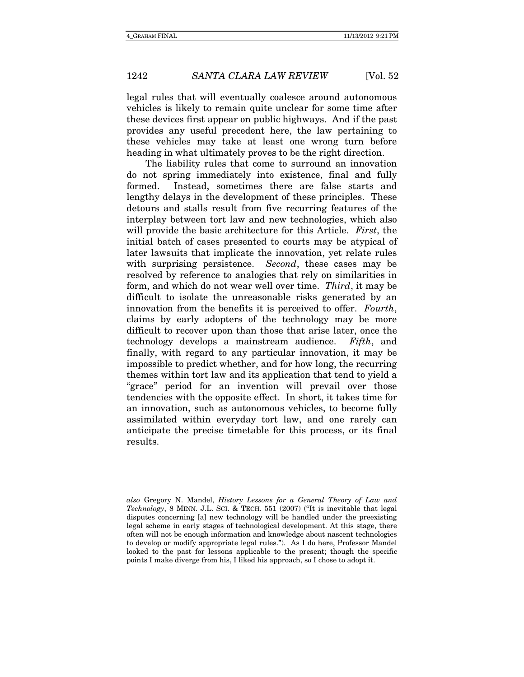legal rules that will eventually coalesce around autonomous vehicles is likely to remain quite unclear for some time after these devices first appear on public highways. And if the past provides any useful precedent here, the law pertaining to these vehicles may take at least one wrong turn before heading in what ultimately proves to be the right direction.

The liability rules that come to surround an innovation do not spring immediately into existence, final and fully formed. Instead, sometimes there are false starts and lengthy delays in the development of these principles. These detours and stalls result from five recurring features of the interplay between tort law and new technologies, which also will provide the basic architecture for this Article. First, the initial batch of cases presented to courts may be atypical of later lawsuits that implicate the innovation, yet relate rules with surprising persistence. *Second*, these cases may be resolved by reference to analogies that rely on similarities in form, and which do not wear well over time. Third, it may be difficult to isolate the unreasonable risks generated by an innovation from the benefits it is perceived to offer. Fourth, claims by early adopters of the technology may be more difficult to recover upon than those that arise later, once the technology develops a mainstream audience. Fifth, and finally, with regard to any particular innovation, it may be impossible to predict whether, and for how long, the recurring themes within tort law and its application that tend to yield a "grace" period for an invention will prevail over those tendencies with the opposite effect. In short, it takes time for an innovation, such as autonomous vehicles, to become fully assimilated within everyday tort law, and one rarely can anticipate the precise timetable for this process, or its final results.

also Gregory N. Mandel, History Lessons for a General Theory of Law and Technology, 8 MINN. J.L. SCI. & TECH. 551 (2007) ("It is inevitable that legal disputes concerning [a] new technology will be handled under the preexisting legal scheme in early stages of technological development. At this stage, there often will not be enough information and knowledge about nascent technologies to develop or modify appropriate legal rules."). As I do here, Professor Mandel looked to the past for lessons applicable to the present; though the specific points I make diverge from his, I liked his approach, so I chose to adopt it.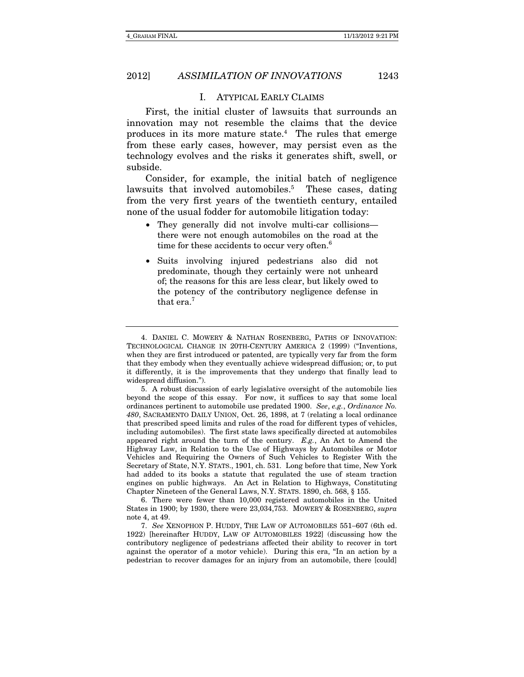#### I. ATYPICAL EARLY CLAIMS

First, the initial cluster of lawsuits that surrounds an innovation may not resemble the claims that the device produces in its more mature state.<sup>4</sup> The rules that emerge from these early cases, however, may persist even as the technology evolves and the risks it generates shift, swell, or subside.

Consider, for example, the initial batch of negligence lawsuits that involved automobiles.<sup>5</sup> These cases, dating from the very first years of the twentieth century, entailed none of the usual fodder for automobile litigation today:

- They generally did not involve multi-car collisions there were not enough automobiles on the road at the time for these accidents to occur very often.<sup>6</sup>
- Suits involving injured pedestrians also did not predominate, though they certainly were not unheard of; the reasons for this are less clear, but likely owed to the potency of the contributory negligence defense in that era.<sup>7</sup>

 6. There were fewer than 10,000 registered automobiles in the United States in 1900; by 1930, there were 23,034,753. MOWERY & ROSENBERG, supra note 4, at 49.

 <sup>4.</sup> DANIEL C. MOWERY & NATHAN ROSENBERG, PATHS OF INNOVATION: TECHNOLOGICAL CHANGE IN 20TH-CENTURY AMERICA 2 (1999) ("Inventions, when they are first introduced or patented, are typically very far from the form that they embody when they eventually achieve widespread diffusion; or, to put it differently, it is the improvements that they undergo that finally lead to widespread diffusion.").

 <sup>5.</sup> A robust discussion of early legislative oversight of the automobile lies beyond the scope of this essay. For now, it suffices to say that some local ordinances pertinent to automobile use predated 1900. See, e.g., Ordinance No. 480, SACRAMENTO DAILY UNION, Oct. 26, 1898, at 7 (relating a local ordinance that prescribed speed limits and rules of the road for different types of vehicles, including automobiles). The first state laws specifically directed at automobiles appeared right around the turn of the century. E.g., An Act to Amend the Highway Law, in Relation to the Use of Highways by Automobiles or Motor Vehicles and Requiring the Owners of Such Vehicles to Register With the Secretary of State, N.Y. STATS., 1901, ch. 531. Long before that time, New York had added to its books a statute that regulated the use of steam traction engines on public highways. An Act in Relation to Highways, Constituting Chapter Nineteen of the General Laws, N.Y. STATS. 1890, ch. 568, § 155.

<sup>7.</sup> See XENOPHON P. HUDDY, THE LAW OF AUTOMOBILES 551-607 (6th ed. 1922) [hereinafter HUDDY, LAW OF AUTOMOBILES 1922] (discussing how the contributory negligence of pedestrians affected their ability to recover in tort against the operator of a motor vehicle). During this era, "In an action by a pedestrian to recover damages for an injury from an automobile, there [could]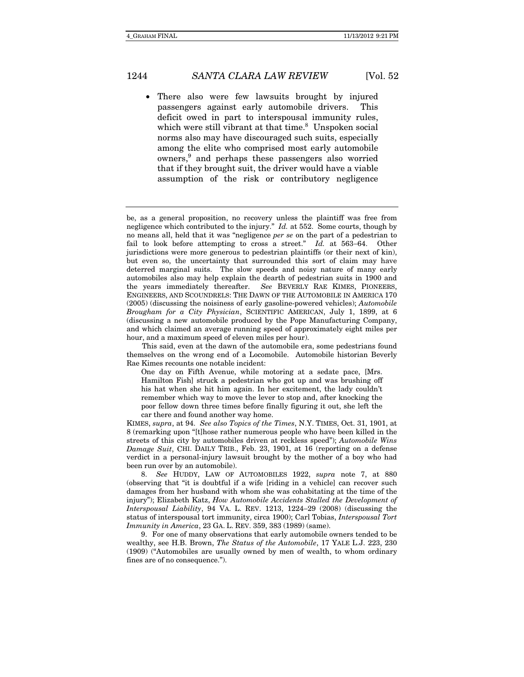There also were few lawsuits brought by injured passengers against early automobile drivers. This deficit owed in part to interspousal immunity rules, which were still vibrant at that time.<sup>8</sup> Unspoken social norms also may have discouraged such suits, especially among the elite who comprised most early automobile owners,<sup>9</sup> and perhaps these passengers also worried that if they brought suit, the driver would have a viable assumption of the risk or contributory negligence

be, as a general proposition, no recovery unless the plaintiff was free from negligence which contributed to the injury." Id. at 552. Some courts, though by no means all, held that it was "negligence per se on the part of a pedestrian to fail to look before attempting to cross a street."  $Id.$  at 563-64. Other jurisdictions were more generous to pedestrian plaintiffs (or their next of kin), but even so, the uncertainty that surrounded this sort of claim may have deterred marginal suits. The slow speeds and noisy nature of many early automobiles also may help explain the dearth of pedestrian suits in 1900 and the years immediately thereafter. See BEVERLY RAE KIMES, PIONEERS, ENGINEERS, AND SCOUNDRELS: THE DAWN OF THE AUTOMOBILE IN AMERICA 170 (2005) (discussing the noisiness of early gasoline-powered vehicles); Automobile Brougham for a City Physician, SCIENTIFIC AMERICAN, July 1, 1899, at 6 (discussing a new automobile produced by the Pope Manufacturing Company, and which claimed an average running speed of approximately eight miles per hour, and a maximum speed of eleven miles per hour).

This said, even at the dawn of the automobile era, some pedestrians found themselves on the wrong end of a Locomobile. Automobile historian Beverly Rae Kimes recounts one notable incident:

One day on Fifth Avenue, while motoring at a sedate pace, [Mrs. Hamilton Fish] struck a pedestrian who got up and was brushing off his hat when she hit him again. In her excitement, the lady couldn't remember which way to move the lever to stop and, after knocking the poor fellow down three times before finally figuring it out, she left the car there and found another way home.

KIMES, supra, at 94. See also Topics of the Times, N.Y. TIMES, Oct. 31, 1901, at 8 (remarking upon "[t]hose rather numerous people who have been killed in the streets of this city by automobiles driven at reckless speed"); Automobile Wins Damage Suit, CHI. DAILY TRIB., Feb. 23, 1901, at 16 (reporting on a defense verdict in a personal-injury lawsuit brought by the mother of a boy who had been run over by an automobile).

<sup>8.</sup> See HUDDY, LAW OF AUTOMOBILES 1922, supra note 7, at 880 (observing that "it is doubtful if a wife [riding in a vehicle] can recover such damages from her husband with whom she was cohabitating at the time of the injury"); Elizabeth Katz, How Automobile Accidents Stalled the Development of Interspousal Liability, 94 VA. L. REV. 1213, 1224-29 (2008) (discussing the status of interspousal tort immunity, circa 1900); Carl Tobias, Interspousal Tort Immunity in America, 23 GA. L. REV. 359, 383 (1989) (same).

 <sup>9.</sup> For one of many observations that early automobile owners tended to be wealthy, see H.B. Brown, The Status of the Automobile, 17 YALE L.J. 223, 230 (1909) ("Automobiles are usually owned by men of wealth, to whom ordinary fines are of no consequence.").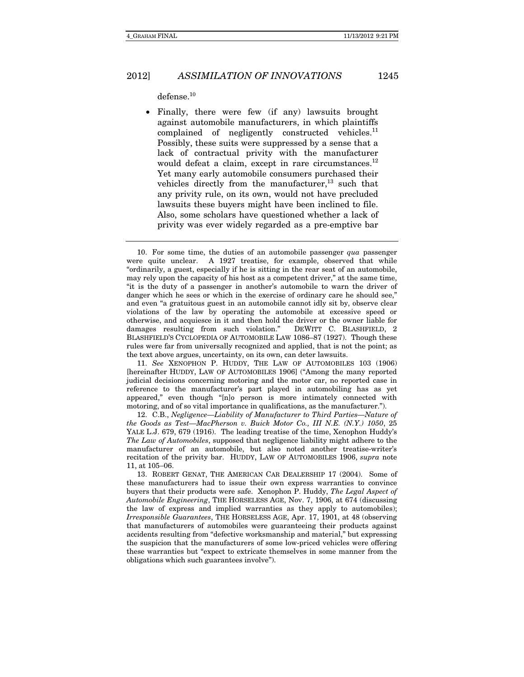defense.10

 Finally, there were few (if any) lawsuits brought against automobile manufacturers, in which plaintiffs complained of negligently constructed vehicles. $^{11}$ Possibly, these suits were suppressed by a sense that a lack of contractual privity with the manufacturer would defeat a claim, except in rare circumstances. $^{12}$ Yet many early automobile consumers purchased their vehicles directly from the manufacturer, $^{13}$  such that any privity rule, on its own, would not have precluded lawsuits these buyers might have been inclined to file. Also, some scholars have questioned whether a lack of privity was ever widely regarded as a pre-emptive bar

11. See XENOPHON P. HUDDY, THE LAW OF AUTOMOBILES 103 (1906) [hereinafter HUDDY, LAW OF AUTOMOBILES 1906] ("Among the many reported judicial decisions concerning motoring and the motor car, no reported case in reference to the manufacturer's part played in automobiling has as yet appeared," even though "[n]o person is more intimately connected with motoring, and of so vital importance in qualifications, as the manufacturer.").

 12. C.B., Negligence—Liability of Manufacturer to Third Parties—Nature of the Goods as Test—MacPherson v. Buick Motor Co., III N.E. (N.Y.) 1050, 25 YALE L.J. 679, 679 (1916). The leading treatise of the time, Xenophon Huddy's The Law of Automobiles, supposed that negligence liability might adhere to the manufacturer of an automobile, but also noted another treatise-writer's recitation of the privity bar. HUDDY, LAW OF AUTOMOBILES 1906, supra note 11, at  $105-06$ .

 13. ROBERT GENAT, THE AMERICAN CAR DEALERSHIP 17 (2004). Some of these manufacturers had to issue their own express warranties to convince buyers that their products were safe. Xenophon P. Huddy, The Legal Aspect of Automobile Engineering, THE HORSELESS AGE, Nov. 7, 1906, at 674 (discussing the law of express and implied warranties as they apply to automobiles); Irresponsible Guarantees, THE HORSELESS AGE, Apr. 17, 1901, at 48 (observing that manufacturers of automobiles were guaranteeing their products against accidents resulting from "defective worksmanship and material," but expressing the suspicion that the manufacturers of some low-priced vehicles were offering these warranties but "expect to extricate themselves in some manner from the obligations which such guarantees involve").

<sup>10.</sup> For some time, the duties of an automobile passenger  $qua$  passenger were quite unclear. A 1927 treatise, for example, observed that while "ordinarily, a guest, especially if he is sitting in the rear seat of an automobile, may rely upon the capacity of his host as a competent driver," at the same time, "it is the duty of a passenger in another's automobile to warn the driver of danger which he sees or which in the exercise of ordinary care he should see," and even "a gratuitous guest in an automobile cannot idly sit by, observe clear violations of the law by operating the automobile at excessive speed or otherwise, and acquiesce in it and then hold the driver or the owner liable for damages resulting from such violation." DEWITT C. BLASHFIELD, 2 BLASHFIELD'S CYCLOPEDIA OF AUTOMOBILE LAW 1086–87 (1927). Though these rules were far from universally recognized and applied, that is not the point; as the text above argues, uncertainty, on its own, can deter lawsuits.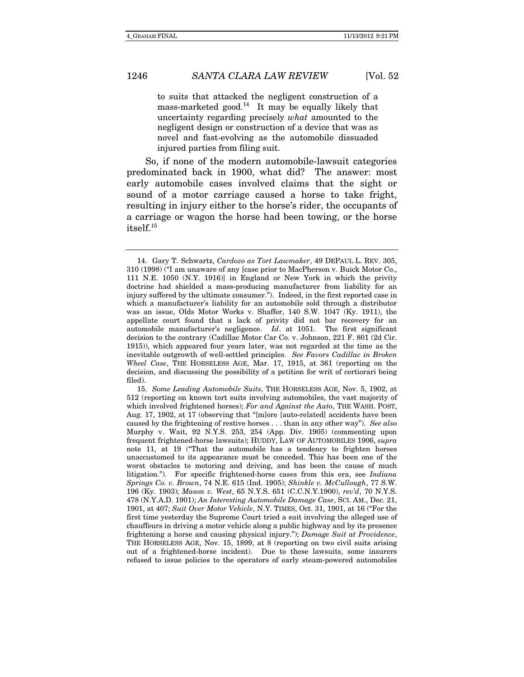to suits that attacked the negligent construction of a mass-marketed good.<sup>14</sup> It may be equally likely that uncertainty regarding precisely what amounted to the negligent design or construction of a device that was as novel and fast-evolving as the automobile dissuaded injured parties from filing suit.

So, if none of the modern automobile-lawsuit categories predominated back in 1900, what did? The answer: most early automobile cases involved claims that the sight or sound of a motor carriage caused a horse to take fright, resulting in injury either to the horse's rider, the occupants of a carriage or wagon the horse had been towing, or the horse itself.15

 <sup>14.</sup> Gary T. Schwartz, Cardozo as Tort Lawmaker, 49 DEPAUL L. REV. 305, 310 (1998) ("I am unaware of any [case prior to MacPherson v. Buick Motor Co., 111 N.E. 1050 (N.Y. 1916)] in England or New York in which the privity doctrine had shielded a mass-producing manufacturer from liability for an injury suffered by the ultimate consumer."). Indeed, in the first reported case in which a manufacturer's liability for an automobile sold through a distributor was an issue, Olds Motor Works v. Shaffer, 140 S.W. 1047 (Ky. 1911), the appellate court found that a lack of privity did not bar recovery for an automobile manufacturer's negligence. Id. at 1051. The first significant decision to the contrary (Cadillac Motor Car Co. v. Johnson, 221 F. 801 (2d Cir. 1915)), which appeared four years later, was not regarded at the time as the inevitable outgrowth of well-settled principles. See Favors Cadillac in Broken Wheel Case, THE HORSELESS AGE, Mar. 17, 1915, at 361 (reporting on the decision, and discussing the possibility of a petition for writ of certiorari being filed).

<sup>15.</sup> Some Leading Automobile Suits, THE HORSELESS AGE, Nov. 5, 1902, at 512 (reporting on known tort suits involving automobiles, the vast majority of which involved frightened horses); For and Against the Auto, THE WASH. POST, Aug. 17, 1902, at 17 (observing that "[m]ore [auto-related] accidents have been caused by the frightening of restive horses . . . than in any other way"). See also Murphy v. Wait, 92 N.Y.S. 253, 254 (App. Div. 1905) (commenting upon frequent frightened-horse lawsuits); HUDDY, LAW OF AUTOMOBILES 1906, supra note 11, at 19 ("That the automobile has a tendency to frighten horses unaccustomed to its appearance must be conceded. This has been one of the worst obstacles to motoring and driving, and has been the cause of much litigation."). For specific frightened-horse cases from this era, see Indiana Springs Co. v. Brown, 74 N.E. 615 (Ind. 1905); Shinkle v. McCullough, 77 S.W. 196 (Ky. 1903); Mason v. West, 65 N.Y.S. 651 (C.C.N.Y.1900), rev'd, 70 N.Y.S. 478 (N.Y.A.D. 1901); An Interesting Automobile Damage Case, SCI. AM., Dec. 21, 1901, at 407; Suit Over Motor Vehicle, N.Y. TIMES, Oct. 31, 1901, at 16 ("For the first time yesterday the Supreme Court tried a suit involving the alleged use of chauffeurs in driving a motor vehicle along a public highway and by its presence frightening a horse and causing physical injury."); Damage Suit at Providence, THE HORSELESS AGE, Nov. 15, 1899, at 8 (reporting on two civil suits arising out of a frightened-horse incident). Due to these lawsuits, some insurers refused to issue policies to the operators of early steam-powered automobiles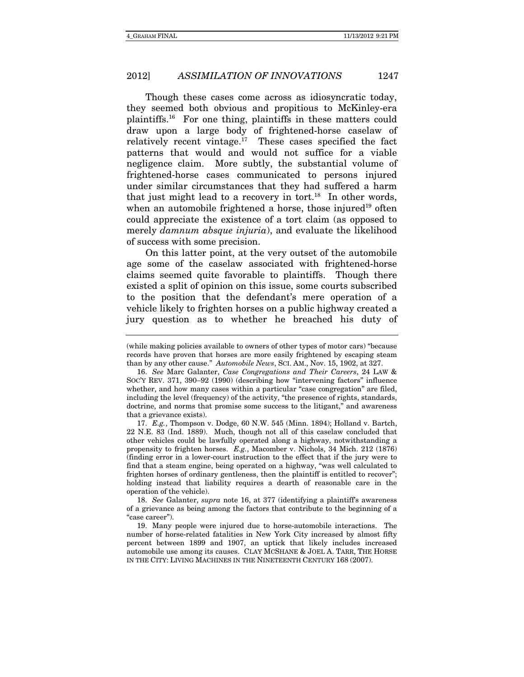Though these cases come across as idiosyncratic today, they seemed both obvious and propitious to McKinley-era plaintiffs.16 For one thing, plaintiffs in these matters could draw upon a large body of frightened-horse caselaw of relatively recent vintage.<sup>17</sup> These cases specified the fact patterns that would and would not suffice for a viable negligence claim. More subtly, the substantial volume of frightened-horse cases communicated to persons injured under similar circumstances that they had suffered a harm that just might lead to a recovery in tort.<sup>18</sup> In other words, when an automobile frightened a horse, those injured<sup>19</sup> often could appreciate the existence of a tort claim (as opposed to merely *damnum absque injuria*), and evaluate the likelihood of success with some precision.

On this latter point, at the very outset of the automobile age some of the caselaw associated with frightened-horse claims seemed quite favorable to plaintiffs. Though there existed a split of opinion on this issue, some courts subscribed to the position that the defendant's mere operation of a vehicle likely to frighten horses on a public highway created a jury question as to whether he breached his duty of

17. E.g., Thompson v. Dodge, 60 N.W. 545 (Minn. 1894); Holland v. Bartch, 22 N.E. 83 (Ind. 1889). Much, though not all of this caselaw concluded that other vehicles could be lawfully operated along a highway, notwithstanding a propensity to frighten horses. E.g., Macomber v. Nichols, 34 Mich. 212 (1876) (finding error in a lower-court instruction to the effect that if the jury were to find that a steam engine, being operated on a highway, "was well calculated to frighten horses of ordinary gentleness, then the plaintiff is entitled to recover"; holding instead that liability requires a dearth of reasonable care in the operation of the vehicle).

18. See Galanter, supra note 16, at 377 (identifying a plaintiff's awareness of a grievance as being among the factors that contribute to the beginning of a "case career").

 19. Many people were injured due to horse-automobile interactions. The number of horse-related fatalities in New York City increased by almost fifty percent between 1899 and 1907, an uptick that likely includes increased automobile use among its causes. CLAY MCSHANE & JOEL A. TARR, THE HORSE IN THE CITY: LIVING MACHINES IN THE NINETEENTH CENTURY 168 (2007).

<sup>(</sup>while making policies available to owners of other types of motor cars) "because records have proven that horses are more easily frightened by escaping steam than by any other cause." Automobile News, SCI. AM., Nov. 15, 1902, at 327.

<sup>16.</sup> See Marc Galanter, Case Congregations and Their Careers, 24 LAW & SOC'Y REV. 371, 390-92 (1990) (describing how "intervening factors" influence whether, and how many cases within a particular "case congregation" are filed, including the level (frequency) of the activity, "the presence of rights, standards, doctrine, and norms that promise some success to the litigant," and awareness that a grievance exists).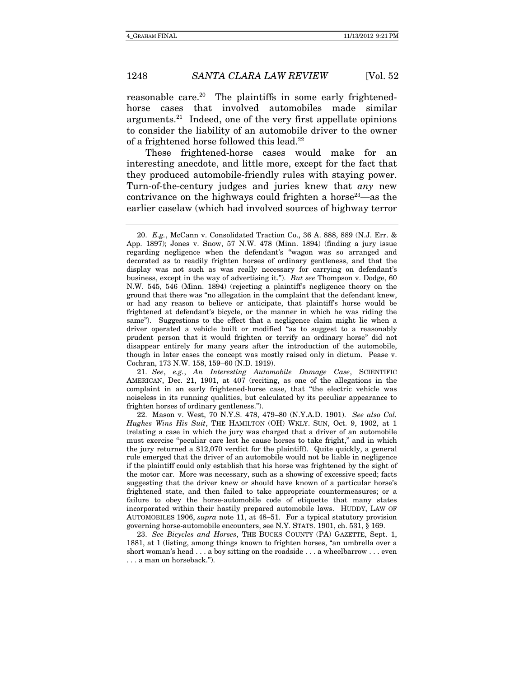reasonable care.<sup>20</sup> The plaintiffs in some early frightenedhorse cases that involved automobiles made similar arguments.21 Indeed, one of the very first appellate opinions to consider the liability of an automobile driver to the owner of a frightened horse followed this lead.<sup>22</sup>

These frightened-horse cases would make for an interesting anecdote, and little more, except for the fact that they produced automobile-friendly rules with staying power. Turn-of-the-century judges and juries knew that any new contrivance on the highways could frighten a horse<sup>23</sup>—as the earlier caselaw (which had involved sources of highway terror

21. See, e.g., An Interesting Automobile Damage Case, SCIENTIFIC AMERICAN, Dec. 21, 1901, at 407 (reciting, as one of the allegations in the complaint in an early frightened-horse case, that "the electric vehicle was noiseless in its running qualities, but calculated by its peculiar appearance to frighten horses of ordinary gentleness.").

 22. Mason v. West, 70 N.Y.S. 478, 479–80 (N.Y.A.D. 1901). See also Col. Hughes Wins His Suit, THE HAMILTON (OH) WKLY. SUN, Oct. 9, 1902, at 1 (relating a case in which the jury was charged that a driver of an automobile must exercise "peculiar care lest he cause horses to take fright," and in which the jury returned a \$12,070 verdict for the plaintiff). Quite quickly, a general rule emerged that the driver of an automobile would not be liable in negligence if the plaintiff could only establish that his horse was frightened by the sight of the motor car. More was necessary, such as a showing of excessive speed; facts suggesting that the driver knew or should have known of a particular horse's frightened state, and then failed to take appropriate countermeasures; or a failure to obey the horse-automobile code of etiquette that many states incorporated within their hastily prepared automobile laws. HUDDY, LAW OF AUTOMOBILES 1906, supra note 11, at 48-51. For a typical statutory provision governing horse-automobile encounters, see N.Y. STATS. 1901, ch. 531, § 169.

23. See Bicycles and Horses, THE BUCKS COUNTY (PA) GAZETTE, Sept. 1, 1881, at 1 (listing, among things known to frighten horses, "an umbrella over a short woman's head . . . a boy sitting on the roadside . . . a wheelbarrow . . . even . . . a man on horseback.").

<sup>20.</sup> E.g., McCann v. Consolidated Traction Co., 36 A. 888, 889 (N.J. Err. & App. 1897); Jones v. Snow, 57 N.W. 478 (Minn. 1894) (finding a jury issue regarding negligence when the defendant's "wagon was so arranged and decorated as to readily frighten horses of ordinary gentleness, and that the display was not such as was really necessary for carrying on defendant's business, except in the way of advertising it."). But see Thompson v. Dodge, 60 N.W. 545, 546 (Minn. 1894) (rejecting a plaintiff's negligence theory on the ground that there was "no allegation in the complaint that the defendant knew, or had any reason to believe or anticipate, that plaintiff's horse would be frightened at defendant's bicycle, or the manner in which he was riding the same"). Suggestions to the effect that a negligence claim might lie when a driver operated a vehicle built or modified "as to suggest to a reasonably prudent person that it would frighten or terrify an ordinary horse" did not disappear entirely for many years after the introduction of the automobile, though in later cases the concept was mostly raised only in dictum. Pease v. Cochran, 173 N.W. 158, 159–60 (N.D. 1919).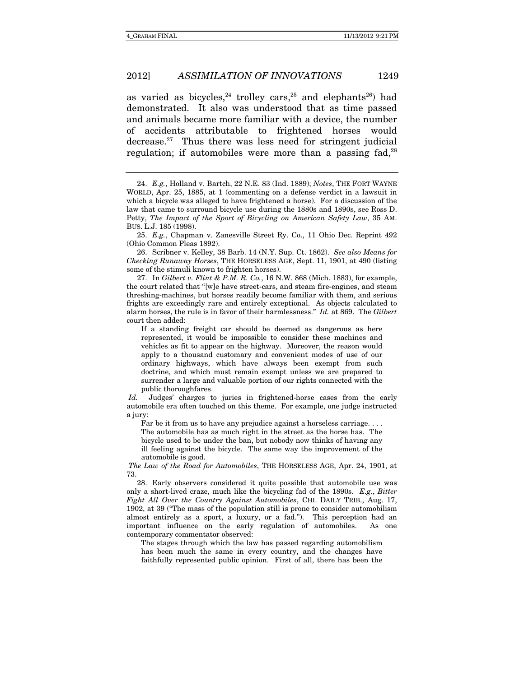as varied as bicycles,  $24$  trolley cars,  $25$  and elephants  $26$ ) had demonstrated. It also was understood that as time passed and animals became more familiar with a device, the number of accidents attributable to frightened horses would decrease. $27$  Thus there was less need for stringent judicial regulation; if automobiles were more than a passing fad, $28$ 

25. E.g., Chapman v. Zanesville Street Ry. Co., 11 Ohio Dec. Reprint 492 (Ohio Common Pleas 1892).

 26. Scribner v. Kelley, 38 Barb. 14 (N.Y. Sup. Ct. 1862). See also Means for Checking Runaway Horses, THE HORSELESS AGE, Sept. 11, 1901, at 490 (listing some of the stimuli known to frighten horses).

 27. In Gilbert v. Flint & P.M. R. Co., 16 N.W. 868 (Mich. 1883), for example, the court related that "[w]e have street-cars, and steam fire-engines, and steam threshing-machines, but horses readily become familiar with them, and serious frights are exceedingly rare and entirely exceptional. As objects calculated to alarm horses, the rule is in favor of their harmlessness." Id. at 869. The Gilbert court then added:

If a standing freight car should be deemed as dangerous as here represented, it would be impossible to consider these machines and vehicles as fit to appear on the highway. Moreover, the reason would apply to a thousand customary and convenient modes of use of our ordinary highways, which have always been exempt from such doctrine, and which must remain exempt unless we are prepared to surrender a large and valuable portion of our rights connected with the public thoroughfares.

Id. Judges' charges to juries in frightened-horse cases from the early automobile era often touched on this theme. For example, one judge instructed a jury:

Far be it from us to have any prejudice against a horseless carriage. . . .

The automobile has as much right in the street as the horse has. The bicycle used to be under the ban, but nobody now thinks of having any ill feeling against the bicycle. The same way the improvement of the automobile is good.

The Law of the Road for Automobiles, THE HORSELESS AGE, Apr. 24, 1901, at 73.

 28. Early observers considered it quite possible that automobile use was only a short-lived craze, much like the bicycling fad of the 1890s. E.g., Bitter Fight All Over the Country Against Automobiles, CHI. DAILY TRIB., Aug. 17, 1902, at 39 ("The mass of the population still is prone to consider automobilism almost entirely as a sport, a luxury, or a fad."). This perception had an important influence on the early regulation of automobiles. As one contemporary commentator observed:

The stages through which the law has passed regarding automobilism has been much the same in every country, and the changes have faithfully represented public opinion. First of all, there has been the

<sup>24.</sup> E.g., Holland v. Bartch, 22 N.E. 83 (Ind. 1889); Notes, THE FORT WAYNE WORLD, Apr. 25, 1885, at 1 (commenting on a defense verdict in a lawsuit in which a bicycle was alleged to have frightened a horse). For a discussion of the law that came to surround bicycle use during the 1880s and 1890s, see Ross D. Petty, The Impact of the Sport of Bicycling on American Safety Law, 35 AM. BUS. L.J. 185 (1998).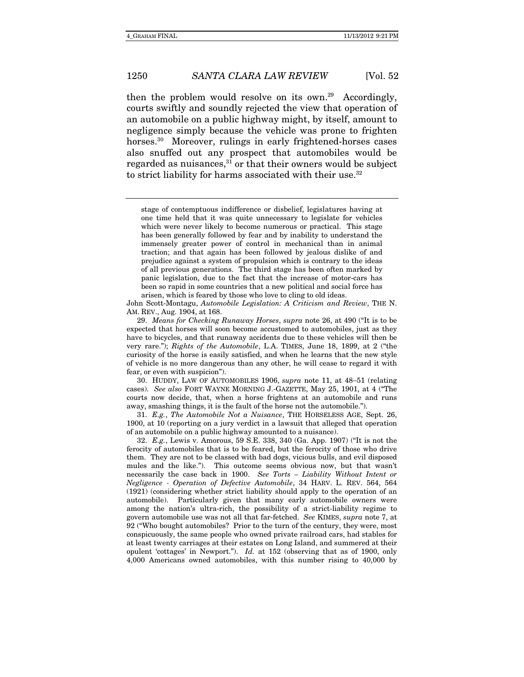then the problem would resolve on its own.<sup>29</sup> Accordingly, courts swiftly and soundly rejected the view that operation of an automobile on a public highway might, by itself, amount to negligence simply because the vehicle was prone to frighten horses.<sup>30</sup> Moreover, rulings in early frightened-horses cases also snuffed out any prospect that automobiles would be regarded as nuisances,<sup>31</sup> or that their owners would be subject to strict liability for harms associated with their use.<sup>32</sup>

John Scott-Montagu, Automobile Legislation: A Criticism and Review, THE N. AM. REV., Aug. 1904, at 168.

29. Means for Checking Runaway Horses, supra note 26, at 490 ("It is to be expected that horses will soon become accustomed to automobiles, just as they have to bicycles, and that runaway accidents due to these vehicles will then be very rare."); Rights of the Automobile, L.A. TIMES, June 18, 1899, at 2 ("the curiosity of the horse is easily satisfied, and when he learns that the new style of vehicle is no more dangerous than any other, he will cease to regard it with fear, or even with suspicion").

30. HUDDY, LAW OF AUTOMOBILES 1906, *supra* note 11, at 48-51 (relating cases). See also FORT WAYNE MORNING J.-GAZETTE, May 25, 1901, at 4 ("The courts now decide, that, when a horse frightens at an automobile and runs away, smashing things, it is the fault of the horse not the automobile.").

31. E.g., The Automobile Not a Nuisance, THE HORSELESS AGE, Sept. 26, 1900, at 10 (reporting on a jury verdict in a lawsuit that alleged that operation of an automobile on a public highway amounted to a nuisance).

32. E.g., Lewis v. Amorous, 59 S.E. 338, 340 (Ga. App. 1907) ("It is not the ferocity of automobiles that is to be feared, but the ferocity of those who drive them. They are not to be classed with bad dogs, vicious bulls, and evil disposed mules and the like."). This outcome seems obvious now, but that wasn't necessarily the case back in 1900. See Torts – Liability Without Intent or Negligence - Operation of Defective Automobile, 34 HARV. L. REV. 564, 564 (1921) (considering whether strict liability should apply to the operation of an automobile). Particularly given that many early automobile owners were among the nation's ultra-rich, the possibility of a strict-liability regime to govern automobile use was not all that far-fetched. See KIMES, supra note 7, at 92 ("Who bought automobiles? Prior to the turn of the century, they were, most conspicuously, the same people who owned private railroad cars, had stables for at least twenty carriages at their estates on Long Island, and summered at their opulent 'cottages' in Newport."). Id. at 152 (observing that as of 1900, only 4,000 Americans owned automobiles, with this number rising to 40,000 by

stage of contemptuous indifference or disbelief, legislatures having at one time held that it was quite unnecessary to legislate for vehicles which were never likely to become numerous or practical. This stage has been generally followed by fear and by inability to understand the immensely greater power of control in mechanical than in animal traction; and that again has been followed by jealous dislike of and prejudice against a system of propulsion which is contrary to the ideas of all previous generations. The third stage has been often marked by panic legislation, due to the fact that the increase of motor-cars has been so rapid in some countries that a new political and social force has arisen, which is feared by those who love to cling to old ideas.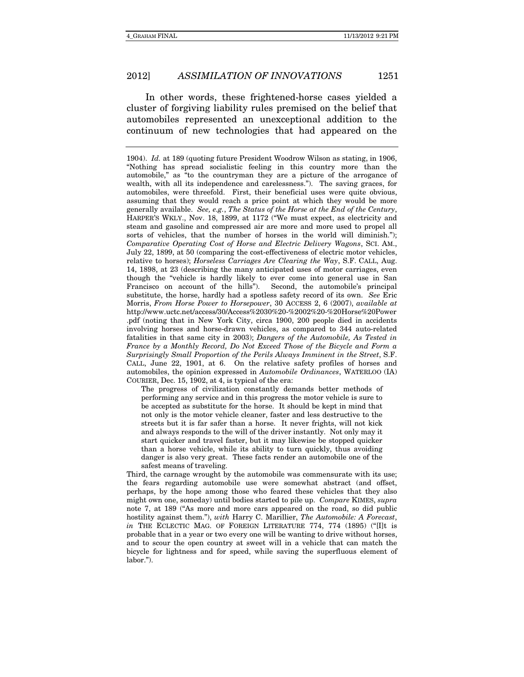In other words, these frightened-horse cases yielded a cluster of forgiving liability rules premised on the belief that automobiles represented an unexceptional addition to the continuum of new technologies that had appeared on the

The progress of civilization constantly demands better methods of performing any service and in this progress the motor vehicle is sure to be accepted as substitute for the horse. It should be kept in mind that not only is the motor vehicle cleaner, faster and less destructive to the streets but it is far safer than a horse. It never frights, will not kick and always responds to the will of the driver instantly. Not only may it start quicker and travel faster, but it may likewise be stopped quicker than a horse vehicle, while its ability to turn quickly, thus avoiding danger is also very great. These facts render an automobile one of the safest means of traveling.

Third, the carnage wrought by the automobile was commensurate with its use; the fears regarding automobile use were somewhat abstract (and offset, perhaps, by the hope among those who feared these vehicles that they also might own one, someday) until bodies started to pile up. Compare KIMES, supra note 7, at 189 ("As more and more cars appeared on the road, so did public hostility against them."), with Harry C. Marillier, The Automobile: A Forecast, in THE ECLECTIC MAG. OF FOREIGN LITERATURE 774, 774 (1895) ("[I]t is probable that in a year or two every one will be wanting to drive without horses, and to scour the open country at sweet will in a vehicle that can match the bicycle for lightness and for speed, while saving the superfluous element of labor.").

<sup>1904).</sup> Id. at 189 (quoting future President Woodrow Wilson as stating, in 1906, "Nothing has spread socialistic feeling in this country more than the automobile," as "to the countryman they are a picture of the arrogance of wealth, with all its independence and carelessness."). The saving graces, for automobiles, were threefold. First, their beneficial uses were quite obvious, assuming that they would reach a price point at which they would be more generally available. See, e.g., The Status of the Horse at the End of the Century, HARPER'S WKLY., Nov. 18, 1899, at 1172 ("We must expect, as electricity and steam and gasoline and compressed air are more and more used to propel all sorts of vehicles, that the number of horses in the world will diminish."); Comparative Operating Cost of Horse and Electric Delivery Wagons, SCI. AM., July 22, 1899, at 50 (comparing the cost-effectiveness of electric motor vehicles, relative to horses); Horseless Carriages Are Clearing the Way, S.F. CALL, Aug. 14, 1898, at 23 (describing the many anticipated uses of motor carriages, even though the "vehicle is hardly likely to ever come into general use in San Francisco on account of the hills"). Second, the automobile's principal substitute, the horse, hardly had a spotless safety record of its own. See Eric Morris, From Horse Power to Horsepower, 30 ACCESS 2, 6 (2007), available at http://www.uctc.net/access/30/Access%2030%20-%2002%20-%20Horse%20Power .pdf (noting that in New York City, circa 1900, 200 people died in accidents involving horses and horse-drawn vehicles, as compared to 344 auto-related fatalities in that same city in 2003); Dangers of the Automobile, As Tested in France by a Monthly Record, Do Not Exceed Those of the Bicycle and Form a Surprisingly Small Proportion of the Perils Always Imminent in the Street, S.F. CALL, June 22, 1901, at 6. On the relative safety profiles of horses and automobiles, the opinion expressed in Automobile Ordinances, WATERLOO (IA) COURIER, Dec. 15, 1902, at 4, is typical of the era: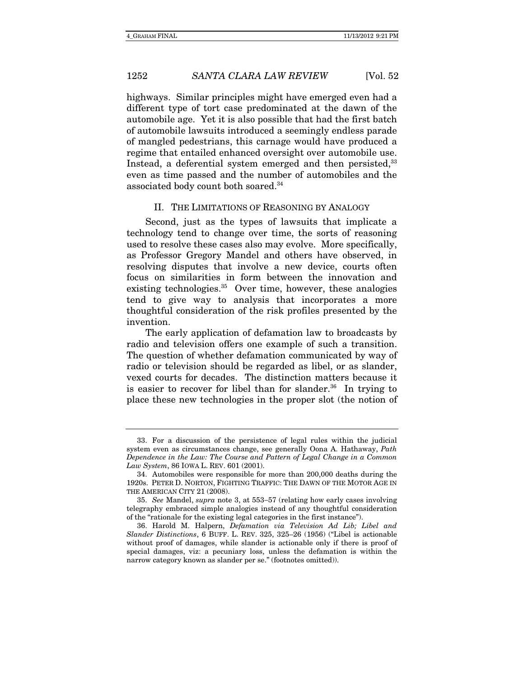highways. Similar principles might have emerged even had a different type of tort case predominated at the dawn of the automobile age. Yet it is also possible that had the first batch of automobile lawsuits introduced a seemingly endless parade of mangled pedestrians, this carnage would have produced a regime that entailed enhanced oversight over automobile use. Instead, a deferential system emerged and then persisted,<sup>33</sup> even as time passed and the number of automobiles and the associated body count both soared.34

#### II. THE LIMITATIONS OF REASONING BY ANALOGY

Second, just as the types of lawsuits that implicate a technology tend to change over time, the sorts of reasoning used to resolve these cases also may evolve. More specifically, as Professor Gregory Mandel and others have observed, in resolving disputes that involve a new device, courts often focus on similarities in form between the innovation and existing technologies.<sup>35</sup> Over time, however, these analogies tend to give way to analysis that incorporates a more thoughtful consideration of the risk profiles presented by the invention.

The early application of defamation law to broadcasts by radio and television offers one example of such a transition. The question of whether defamation communicated by way of radio or television should be regarded as libel, or as slander, vexed courts for decades. The distinction matters because it is easier to recover for libel than for slander.<sup>36</sup> In trying to place these new technologies in the proper slot (the notion of

 <sup>33.</sup> For a discussion of the persistence of legal rules within the judicial system even as circumstances change, see generally Oona A. Hathaway, Path Dependence in the Law: The Course and Pattern of Legal Change in a Common Law System, 86 IOWA L. REV. 601 (2001).

 <sup>34.</sup> Automobiles were responsible for more than 200,000 deaths during the 1920s. PETER D. NORTON, FIGHTING TRAFFIC: THE DAWN OF THE MOTOR AGE IN THE AMERICAN CITY 21 (2008).

<sup>35.</sup> See Mandel, supra note 3, at 553–57 (relating how early cases involving telegraphy embraced simple analogies instead of any thoughtful consideration of the "rationale for the existing legal categories in the first instance").

 <sup>36.</sup> Harold M. Halpern, Defamation via Television Ad Lib; Libel and Slander Distinctions, 6 BUFF. L. REV. 325, 325–26 (1956) ("Libel is actionable without proof of damages, while slander is actionable only if there is proof of special damages, viz: a pecuniary loss, unless the defamation is within the narrow category known as slander per se." (footnotes omitted)).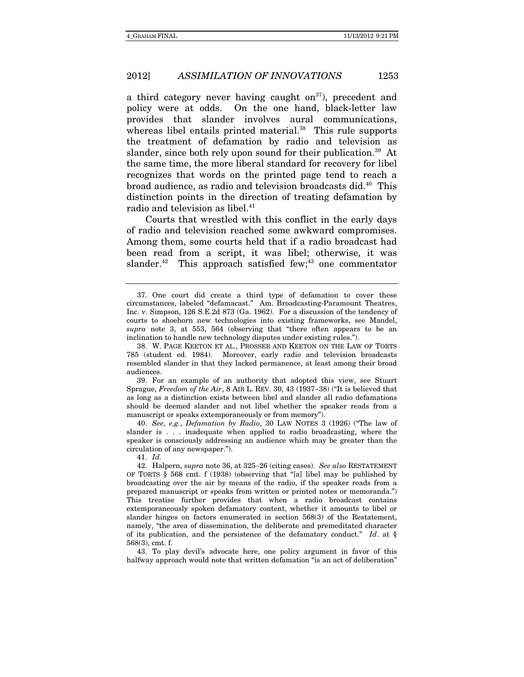a third category never having caught on<sup>37</sup>), precedent and policy were at odds. On the one hand, black-letter law provides that slander involves aural communications, whereas libel entails printed material.<sup>38</sup> This rule supports the treatment of defamation by radio and television as slander, since both rely upon sound for their publication.<sup>39</sup> At the same time, the more liberal standard for recovery for libel recognizes that words on the printed page tend to reach a broad audience, as radio and television broadcasts did.40 This distinction points in the direction of treating defamation by radio and television as libel.<sup>41</sup>

Courts that wrestled with this conflict in the early days of radio and television reached some awkward compromises. Among them, some courts held that if a radio broadcast had been read from a script, it was libel; otherwise, it was slander. $42$  This approach satisfied few; $43$  one commentator

 39. For an example of an authority that adopted this view, see Stuart Sprague, Freedom of the Air, 8 AIR L. REV. 30, 43 (1937-38) ("It is believed that as long as a distinction exists between libel and slander all radio defamations should be deemed slander and not libel whether the speaker reads from a manuscript or speaks extemporaneously or from memory").

40. See, e.g., Defamation by Radio, 30 LAW NOTES 3 (1926) ("The law of slander is . . . inadequate when applied to radio broadcasting, where the speaker is consciously addressing an audience which may be greater than the circulation of any newspaper.").

41. Id.

 43. To play devil's advocate here, one policy argument in favor of this halfway approach would note that written defamation "is an act of deliberation"

 <sup>37.</sup> One court did create a third type of defamation to cover these circumstances, labeled "defamacast." Am. Broadcasting-Paramount Theatres, Inc. v. Simpson, 126 S.E.2d 873 (Ga. 1962). For a discussion of the tendency of courts to shoehorn new technologies into existing frameworks, see Mandel, supra note 3, at 553, 564 (observing that "there often appears to be an inclination to handle new technology disputes under existing rules.").

 <sup>38.</sup> W. PAGE KEETON ET AL., PROSSER AND KEETON ON THE LAW OF TORTS 785 (student ed. 1984). Moreover, early radio and television broadcasts resembled slander in that they lacked permanence, at least among their broad audiences.

<sup>42.</sup> Halpern, supra note 36, at 325-26 (citing cases). See also RESTATEMENT OF TORTS § 568 cmt. f (1938) (observing that "[a] libel may be published by broadcasting over the air by means of the radio, if the speaker reads from a prepared manuscript or speaks from written or printed notes or memoranda.") This treatise further provides that when a radio broadcast contains extemporaneously spoken defamatory content, whether it amounts to libel or slander hinges on factors enumerated in section 568(3) of the Restatement, namely, "the area of dissemination, the deliberate and premeditated character of its publication, and the persistence of the defamatory conduct." Id. at  $\S$ 568(3), cmt. f.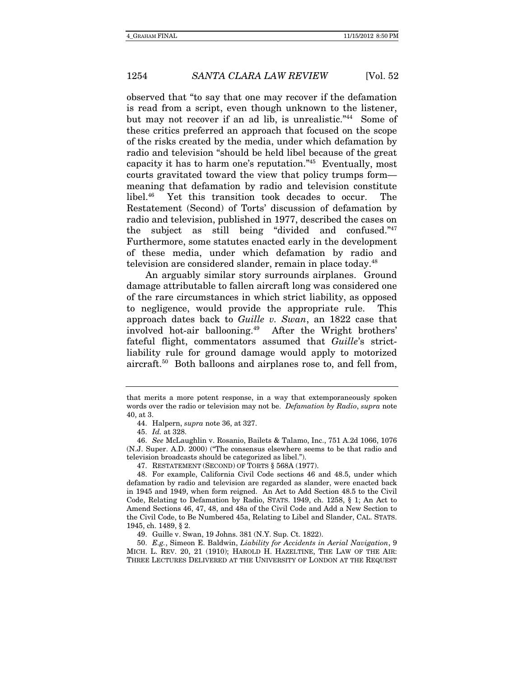observed that "to say that one may recover if the defamation is read from a script, even though unknown to the listener, but may not recover if an ad lib, is unrealistic."44 Some of these critics preferred an approach that focused on the scope of the risks created by the media, under which defamation by radio and television "should be held libel because of the great capacity it has to harm one's reputation."45 Eventually, most courts gravitated toward the view that policy trumps form meaning that defamation by radio and television constitute libel.46 Yet this transition took decades to occur. The Restatement (Second) of Torts' discussion of defamation by radio and television, published in 1977, described the cases on the subject as still being "divided and confused."47 Furthermore, some statutes enacted early in the development of these media, under which defamation by radio and television are considered slander, remain in place today.<sup>48</sup>

An arguably similar story surrounds airplanes. Ground damage attributable to fallen aircraft long was considered one of the rare circumstances in which strict liability, as opposed to negligence, would provide the appropriate rule. This approach dates back to Guille v. Swan, an 1822 case that involved hot-air ballooning.49 After the Wright brothers' fateful flight, commentators assumed that Guille's strictliability rule for ground damage would apply to motorized aircraft.50 Both balloons and airplanes rose to, and fell from,

46. See McLaughlin v. Rosanio, Bailets & Talamo, Inc., 751 A.2d 1066, 1076 (N.J. Super. A.D. 2000) ("The consensus elsewhere seems to be that radio and television broadcasts should be categorized as libel.").

47. RESTATEMENT (SECOND) OF TORTS § 568A (1977).

50. E.g., Simeon E. Baldwin, Liability for Accidents in Aerial Navigation, 9 MICH. L. REV. 20, 21 (1910); HAROLD H. HAZELTINE, THE LAW OF THE AIR: THREE LECTURES DELIVERED AT THE UNIVERSITY OF LONDON AT THE REQUEST

that merits a more potent response, in a way that extemporaneously spoken words over the radio or television may not be. *Defamation by Radio, supra* note 40, at 3.

 <sup>44.</sup> Halpern, supra note 36, at 327.

<sup>45.</sup> Id. at 328.

 <sup>48.</sup> For example, California Civil Code sections 46 and 48.5, under which defamation by radio and television are regarded as slander, were enacted back in 1945 and 1949, when form reigned. An Act to Add Section 48.5 to the Civil Code, Relating to Defamation by Radio, STATS. 1949, ch. 1258, § 1; An Act to Amend Sections 46, 47, 48, and 48a of the Civil Code and Add a New Section to the Civil Code, to Be Numbered 45a, Relating to Libel and Slander, CAL. STATS. 1945, ch. 1489, § 2.

 <sup>49.</sup> Guille v. Swan, 19 Johns. 381 (N.Y. Sup. Ct. 1822).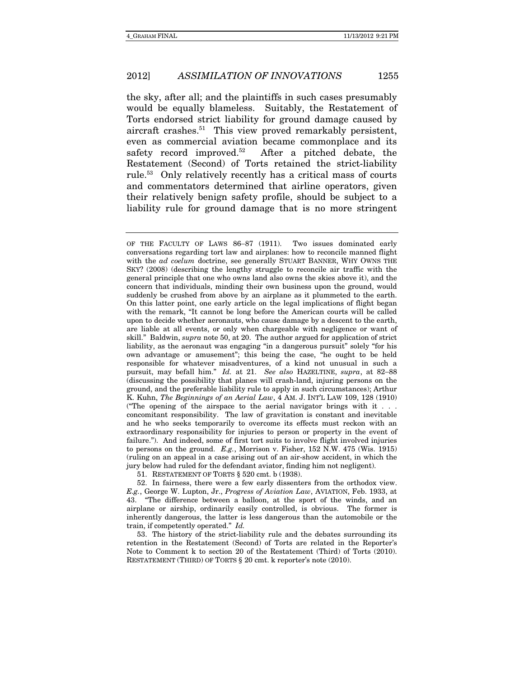the sky, after all; and the plaintiffs in such cases presumably would be equally blameless. Suitably, the Restatement of Torts endorsed strict liability for ground damage caused by aircraft crashes.<sup>51</sup> This view proved remarkably persistent, even as commercial aviation became commonplace and its safety record improved.<sup>52</sup> After a pitched debate, the Restatement (Second) of Torts retained the strict-liability rule.53 Only relatively recently has a critical mass of courts and commentators determined that airline operators, given their relatively benign safety profile, should be subject to a liability rule for ground damage that is no more stringent

51. RESTATEMENT OF TORTS § 520 cmt. b (1938).

 52. In fairness, there were a few early dissenters from the orthodox view. E.g., George W. Lupton, Jr., Progress of Aviation Law, AVIATION, Feb. 1933, at 43. "The difference between a balloon, at the sport of the winds, and an airplane or airship, ordinarily easily controlled, is obvious. The former is inherently dangerous, the latter is less dangerous than the automobile or the train, if competently operated." Id.

 53. The history of the strict-liability rule and the debates surrounding its retention in the Restatement (Second) of Torts are related in the Reporter's Note to Comment k to section 20 of the Restatement (Third) of Torts (2010). RESTATEMENT (THIRD) OF TORTS § 20 cmt. k reporter's note (2010).

OF THE FACULTY OF LAWS 86-87 (1911). Two issues dominated early conversations regarding tort law and airplanes: how to reconcile manned flight with the *ad coelum* doctrine, see generally STUART BANNER, WHY OWNS THE SKY? (2008) (describing the lengthy struggle to reconcile air traffic with the general principle that one who owns land also owns the skies above it), and the concern that individuals, minding their own business upon the ground, would suddenly be crushed from above by an airplane as it plummeted to the earth. On this latter point, one early article on the legal implications of flight began with the remark, "It cannot be long before the American courts will be called upon to decide whether aeronauts, who cause damage by a descent to the earth, are liable at all events, or only when chargeable with negligence or want of skill." Baldwin, supra note 50, at 20. The author argued for application of strict liability, as the aeronaut was engaging "in a dangerous pursuit" solely "for his own advantage or amusement"; this being the case, "he ought to be held responsible for whatever misadventures, of a kind not unusual in such a pursuit, may befall him." Id. at 21. See also HAZELTINE, supra, at 82-88 (discussing the possibility that planes will crash-land, injuring persons on the ground, and the preferable liability rule to apply in such circumstances); Arthur K. Kuhn, The Beginnings of an Aerial Law, 4 AM. J. INT'L LAW 109, 128 (1910) ("The opening of the airspace to the aerial navigator brings with it  $\ldots$ concomitant responsibility. The law of gravitation is constant and inevitable and he who seeks temporarily to overcome its effects must reckon with an extraordinary responsibility for injuries to person or property in the event of failure."). And indeed, some of first tort suits to involve flight involved injuries to persons on the ground. E.g., Morrison v. Fisher, 152 N.W. 475 (Wis. 1915) (ruling on an appeal in a case arising out of an air-show accident, in which the jury below had ruled for the defendant aviator, finding him not negligent).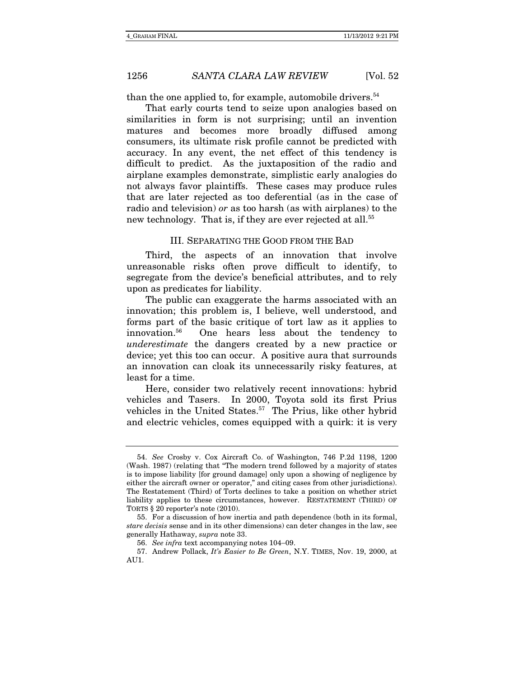than the one applied to, for example, automobile drivers.<sup>54</sup>

That early courts tend to seize upon analogies based on similarities in form is not surprising; until an invention matures and becomes more broadly diffused among consumers, its ultimate risk profile cannot be predicted with accuracy. In any event, the net effect of this tendency is difficult to predict. As the juxtaposition of the radio and airplane examples demonstrate, simplistic early analogies do not always favor plaintiffs. These cases may produce rules that are later rejected as too deferential (as in the case of radio and television) or as too harsh (as with airplanes) to the new technology. That is, if they are ever rejected at all.<sup>55</sup>

#### III. SEPARATING THE GOOD FROM THE BAD

Third, the aspects of an innovation that involve unreasonable risks often prove difficult to identify, to segregate from the device's beneficial attributes, and to rely upon as predicates for liability.

The public can exaggerate the harms associated with an innovation; this problem is, I believe, well understood, and forms part of the basic critique of tort law as it applies to innovation.56 One hears less about the tendency to underestimate the dangers created by a new practice or device; yet this too can occur. A positive aura that surrounds an innovation can cloak its unnecessarily risky features, at least for a time.

Here, consider two relatively recent innovations: hybrid vehicles and Tasers. In 2000, Toyota sold its first Prius vehicles in the United States.<sup>57</sup> The Prius, like other hybrid and electric vehicles, comes equipped with a quirk: it is very

<sup>54.</sup> See Crosby v. Cox Aircraft Co. of Washington, 746 P.2d 1198, 1200 (Wash. 1987) (relating that "The modern trend followed by a majority of states is to impose liability [for ground damage] only upon a showing of negligence by either the aircraft owner or operator," and citing cases from other jurisdictions). The Restatement (Third) of Torts declines to take a position on whether strict liability applies to these circumstances, however. RESTATEMENT (THIRD) OF TORTS § 20 reporter's note (2010).

 <sup>55.</sup> For a discussion of how inertia and path dependence (both in its formal, stare decisis sense and in its other dimensions) can deter changes in the law, see generally Hathaway, supra note 33.

<sup>56.</sup> See infra text accompanying notes 104–09.

 <sup>57.</sup> Andrew Pollack, It's Easier to Be Green, N.Y. TIMES, Nov. 19, 2000, at AU1.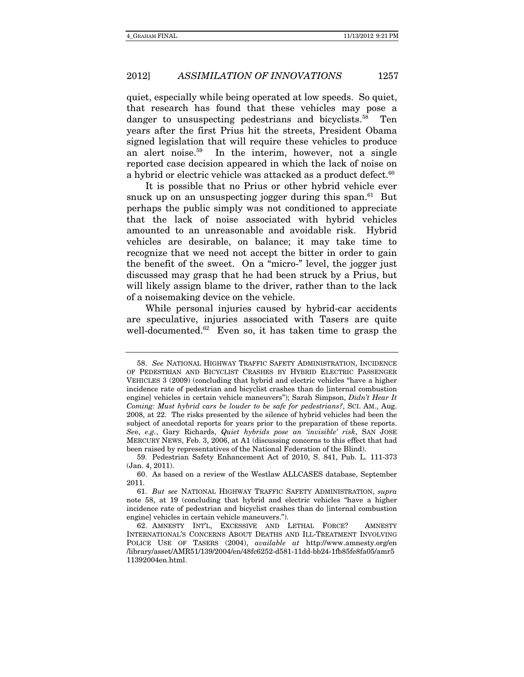quiet, especially while being operated at low speeds. So quiet, that research has found that these vehicles may pose a danger to unsuspecting pedestrians and bicyclists.<sup>58</sup> Ten years after the first Prius hit the streets, President Obama signed legislation that will require these vehicles to produce an alert noise.59 In the interim, however, not a single reported case decision appeared in which the lack of noise on a hybrid or electric vehicle was attacked as a product defect.<sup>60</sup>

It is possible that no Prius or other hybrid vehicle ever snuck up on an unsuspecting jogger during this span. $61$  But perhaps the public simply was not conditioned to appreciate that the lack of noise associated with hybrid vehicles amounted to an unreasonable and avoidable risk. Hybrid vehicles are desirable, on balance; it may take time to recognize that we need not accept the bitter in order to gain the benefit of the sweet. On a "micro-" level, the jogger just discussed may grasp that he had been struck by a Prius, but will likely assign blame to the driver, rather than to the lack of a noisemaking device on the vehicle.

While personal injuries caused by hybrid-car accidents are speculative, injuries associated with Tasers are quite well-documented. $62$  Even so, it has taken time to grasp the

<sup>58.</sup> See NATIONAL HIGHWAY TRAFFIC SAFETY ADMINISTRATION, INCIDENCE OF PEDESTRIAN AND BICYCLIST CRASHES BY HYBRID ELECTRIC PASSENGER VEHICLES 3 (2009) (concluding that hybrid and electric vehicles "have a higher incidence rate of pedestrian and bicyclist crashes than do [internal combustion engine] vehicles in certain vehicle maneuvers"); Sarah Simpson, Didn't Hear It Coming: Must hybrid cars be louder to be safe for pedestrians?, SCI. AM., Aug. 2008, at 22. The risks presented by the silence of hybrid vehicles had been the subject of anecdotal reports for years prior to the preparation of these reports. See, e.g., Gary Richards, Quiet hybrids pose an 'invisible' risk, SAN JOSE MERCURY NEWS, Feb. 3, 2006, at A1 (discussing concerns to this effect that had been raised by representatives of the National Federation of the Blind).

 <sup>59.</sup> Pedestrian Safety Enhancement Act of 2010, S. 841, Pub. L. 111-373 (Jan. 4, 2011).

 <sup>60.</sup> As based on a review of the Westlaw ALLCASES database, September 2011.

<sup>61.</sup> But see NATIONAL HIGHWAY TRAFFIC SAFETY ADMINISTRATION, supra note 58, at 19 (concluding that hybrid and electric vehicles "have a higher incidence rate of pedestrian and bicyclist crashes than do [internal combustion engine] vehicles in certain vehicle maneuvers.").

 <sup>62.</sup> AMNESTY INT'L, EXCESSIVE AND LETHAL FORCE? AMNESTY INTERNATIONAL'S CONCERNS ABOUT DEATHS AND ILL-TREATMENT INVOLVING POLICE USE OF TASERS (2004), available at http://www.amnesty.org/en /library/asset/AMR51/139/2004/en/48fc6252-d581-11dd-bb24-1fb85fe8fa05/amr5 11392004en.html.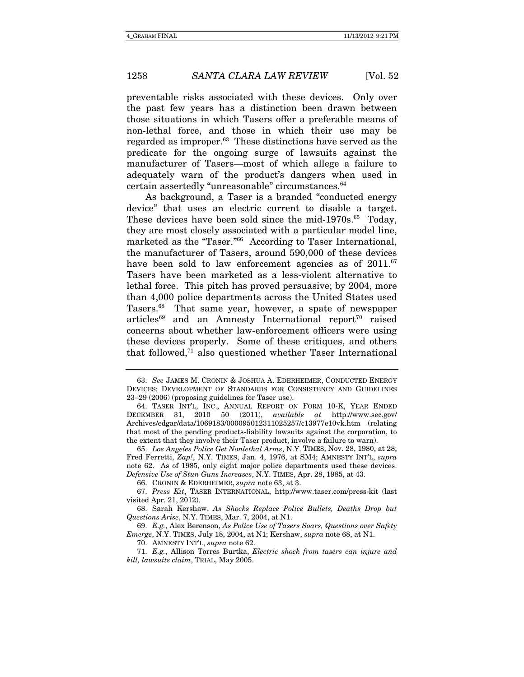preventable risks associated with these devices. Only over the past few years has a distinction been drawn between those situations in which Tasers offer a preferable means of non-lethal force, and those in which their use may be regarded as improper.<sup>63</sup> These distinctions have served as the predicate for the ongoing surge of lawsuits against the manufacturer of Tasers—most of which allege a failure to adequately warn of the product's dangers when used in certain assertedly "unreasonable" circumstances.64

As background, a Taser is a branded "conducted energy device" that uses an electric current to disable a target. These devices have been sold since the mid-1970s.<sup>65</sup> Today, they are most closely associated with a particular model line, marketed as the "Taser."66 According to Taser International, the manufacturer of Tasers, around 590,000 of these devices have been sold to law enforcement agencies as of  $2011$ .<sup>67</sup> Tasers have been marketed as a less-violent alternative to lethal force. This pitch has proved persuasive; by 2004, more than 4,000 police departments across the United States used Tasers.68 That same year, however, a spate of newspaper articles<sup>69</sup> and an Amnesty International report<sup>70</sup> raised concerns about whether law-enforcement officers were using these devices properly. Some of these critiques, and others that followed,71 also questioned whether Taser International

66. CRONIN & EDERHEIMER, supra note 63, at 3.

<sup>63.</sup> See JAMES M. CRONIN & JOSHUA A. EDERHEIMER, CONDUCTED ENERGY DEVICES: DEVELOPMENT OF STANDARDS FOR CONSISTENCY AND GUIDELINES 23–29 (2006) (proposing guidelines for Taser use).

 <sup>64.</sup> TASER INT'L, INC., ANNUAL REPORT ON FORM 10-K, YEAR ENDED DECEMBER 31, 2010 50 (2011), available at http://www.sec.gov/ Archives/edgar/data/1069183/000095012311025257/c13977e10vk.htm (relating that most of the pending products-liability lawsuits against the corporation, to the extent that they involve their Taser product, involve a failure to warn).

<sup>65.</sup> Los Angeles Police Get Nonlethal Arms, N.Y. TIMES, Nov. 28, 1980, at 28; Fred Ferretti, Zap!, N.Y. TIMES, Jan. 4, 1976, at SM4; AMNESTY INT'L, supra note 62. As of 1985, only eight major police departments used these devices. Defensive Use of Stun Guns Increases, N.Y. TIMES, Apr. 28, 1985, at 43.

 <sup>67.</sup> Press Kit, TASER INTERNATIONAL, http://www.taser.com/press-kit (last visited Apr. 21, 2012).

 <sup>68.</sup> Sarah Kershaw, As Shocks Replace Police Bullets, Deaths Drop but Questions Arise, N.Y. TIMES, Mar. 7, 2004, at N1.

<sup>69.</sup> E.g., Alex Berenson, As Police Use of Tasers Soars, Questions over Safety Emerge, N.Y. TIMES, July 18, 2004, at N1; Kershaw, supra note 68, at N1.

 <sup>70.</sup> AMNESTY INT'L, supra note 62.

<sup>71.</sup> E.g., Allison Torres Burtka, Electric shock from tasers can injure and kill, lawsuits claim, TRIAL, May 2005.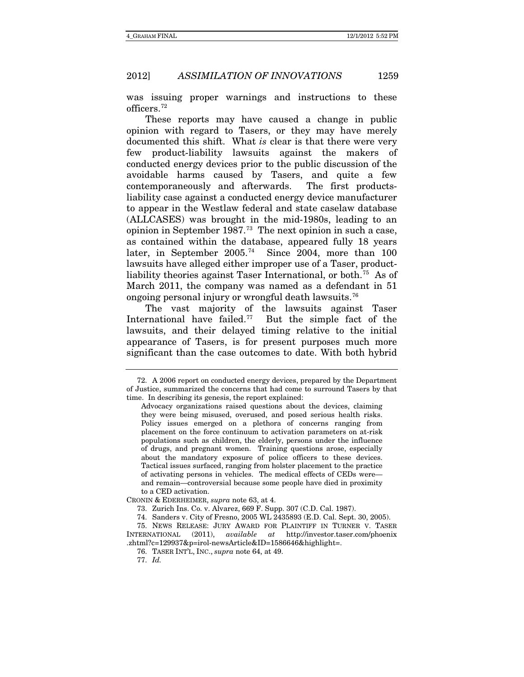was issuing proper warnings and instructions to these officers.[72](#page-19-0)

These reports may have caused a change in public opinion with regard to Tasers, or they may have merely documented this shift. What *is* clear is that there were very few product-liability lawsuits against the makers of conducted energy devices prior to the public discussion of the avoidable harms caused by Tasers, and quite a few contemporaneously and afterwards. The first productsliability case against a conducted energy device manufacturer to appear in the Westlaw federal and state caselaw database (ALLCASES) was brought in the mid-1980s, leading to an opinion in September 1987.[73](#page-19-1) The next opinion in such a case, as contained within the database, appeared fully 18 years later, in September 2005.[74](#page-19-2) Since 2004, more than 100 lawsuits have alleged either improper use of a Taser, product-liability theories against Taser International, or both.<sup>[75](#page-19-3)</sup> As of March 2011, the company was named as a defendant in 51 ongoing personal injury or wrongful death lawsuits.[76](#page-19-4)

The vast majority of the lawsuits against Taser International have failed.[77](#page-19-5) But the simple fact of the lawsuits, and their delayed timing relative to the initial appearance of Tasers, is for present purposes much more significant than the case outcomes to date. With both hybrid

<span id="page-19-1"></span>CRONIN & EDERHEIMER, *supra* note 63, at 4.

<span id="page-19-5"></span><span id="page-19-4"></span><span id="page-19-3"></span><span id="page-19-2"></span>75. NEWS RELEASE: JURY AWARD FOR PLAINTIFF IN TURNER V. TASER INTERNATIONAL (2011), *available at* http://investor.taser.com/phoenix .zhtml?c=129937&p=irol-newsArticle&ID=1586646&highlight=.

<span id="page-19-0"></span><sup>72.</sup> A 2006 report on conducted energy devices, prepared by the Department of Justice, summarized the concerns that had come to surround Tasers by that time. In describing its genesis, the report explained:

Advocacy organizations raised questions about the devices, claiming they were being misused, overused, and posed serious health risks. Policy issues emerged on a plethora of concerns ranging from placement on the force continuum to activation parameters on at-risk populations such as children, the elderly, persons under the influence of drugs, and pregnant women. Training questions arose, especially about the mandatory exposure of police officers to these devices. Tactical issues surfaced, ranging from holster placement to the practice of activating persons in vehicles. The medical effects of CEDs were and remain—controversial because some people have died in proximity to a CED activation.

<sup>73.</sup> Zurich Ins. Co. v. Alvarez, 669 F. Supp. 307 (C.D. Cal. 1987).

<sup>74.</sup> Sanders v. City of Fresno, 2005 WL 2435893 (E.D. Cal. Sept. 30, 2005).

<sup>76.</sup> TASER INT'L, INC., *supra* note 64, at 49.

<sup>77.</sup> *Id.*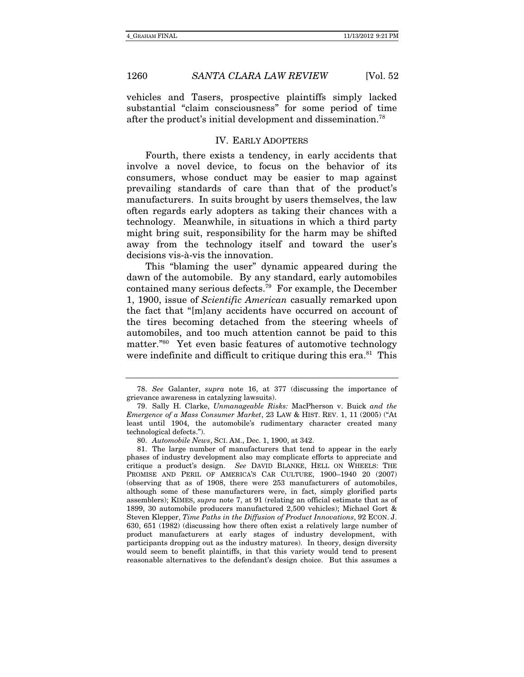vehicles and Tasers, prospective plaintiffs simply lacked substantial "claim consciousness" for some period of time after the product's initial development and dissemination.78

#### IV. EARLY ADOPTERS

Fourth, there exists a tendency, in early accidents that involve a novel device, to focus on the behavior of its consumers, whose conduct may be easier to map against prevailing standards of care than that of the product's manufacturers. In suits brought by users themselves, the law often regards early adopters as taking their chances with a technology. Meanwhile, in situations in which a third party might bring suit, responsibility for the harm may be shifted away from the technology itself and toward the user's decisions vis-à-vis the innovation.

This "blaming the user" dynamic appeared during the dawn of the automobile. By any standard, early automobiles contained many serious defects.79 For example, the December 1, 1900, issue of Scientific American casually remarked upon the fact that "[m]any accidents have occurred on account of the tires becoming detached from the steering wheels of automobiles, and too much attention cannot be paid to this matter."80 Yet even basic features of automotive technology were indefinite and difficult to critique during this era.<sup>81</sup> This

<sup>78.</sup> See Galanter, supra note 16, at 377 (discussing the importance of grievance awareness in catalyzing lawsuits).

 <sup>79.</sup> Sally H. Clarke, Unmanageable Risks: MacPherson v. Buick and the Emergence of a Mass Consumer Market, 23 LAW & HIST. REV. 1, 11 (2005) ("At least until 1904, the automobile's rudimentary character created many technological defects.").

<sup>80.</sup> Automobile News, SCI. AM., Dec. 1, 1900, at 342.

 <sup>81.</sup> The large number of manufacturers that tend to appear in the early phases of industry development also may complicate efforts to appreciate and critique a product's design. See DAVID BLANKE, HELL ON WHEELS: THE PROMISE AND PERIL OF AMERICA'S CAR CULTURE, 1900–1940 20 (2007) (observing that as of 1908, there were 253 manufacturers of automobiles, although some of these manufacturers were, in fact, simply glorified parts assemblers); KIMES, supra note 7, at 91 (relating an official estimate that as of 1899, 30 automobile producers manufactured 2,500 vehicles); Michael Gort & Steven Klepper, Time Paths in the Diffusion of Product Innovations, 92 ECON. J. 630, 651 (1982) (discussing how there often exist a relatively large number of product manufacturers at early stages of industry development, with participants dropping out as the industry matures). In theory, design diversity would seem to benefit plaintiffs, in that this variety would tend to present reasonable alternatives to the defendant's design choice. But this assumes a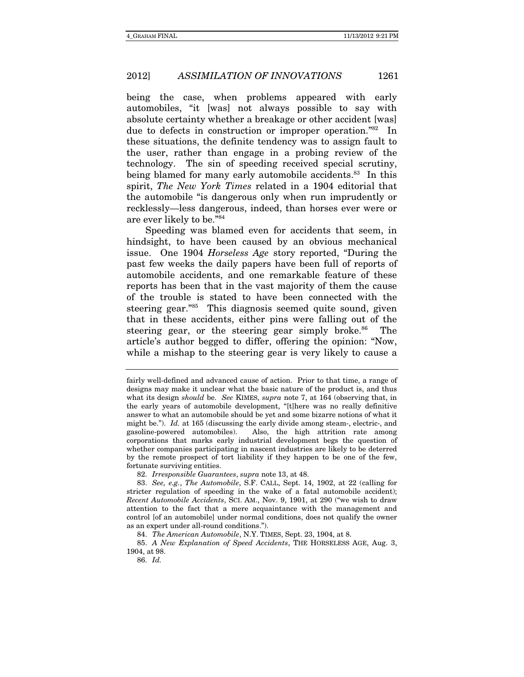being the case, when problems appeared with early automobiles, "it [was] not always possible to say with absolute certainty whether a breakage or other accident [was] due to defects in construction or improper operation."82 In these situations, the definite tendency was to assign fault to the user, rather than engage in a probing review of the technology. The sin of speeding received special scrutiny, being blamed for many early automobile accidents.<sup>83</sup> In this spirit, The New York Times related in a 1904 editorial that the automobile "is dangerous only when run imprudently or recklessly—less dangerous, indeed, than horses ever were or are ever likely to be."84

Speeding was blamed even for accidents that seem, in hindsight, to have been caused by an obvious mechanical issue. One 1904 Horseless Age story reported, "During the past few weeks the daily papers have been full of reports of automobile accidents, and one remarkable feature of these reports has been that in the vast majority of them the cause of the trouble is stated to have been connected with the steering gear."85 This diagnosis seemed quite sound, given that in these accidents, either pins were falling out of the steering gear, or the steering gear simply broke.<sup>86</sup> The article's author begged to differ, offering the opinion: "Now, while a mishap to the steering gear is very likely to cause a

82. Irresponsible Guarantees, supra note 13, at 48.

84. The American Automobile, N.Y. TIMES, Sept. 23, 1904, at 8.

85. A New Explanation of Speed Accidents, THE HORSELESS AGE, Aug. 3, 1904, at 98.

86. Id.

fairly well-defined and advanced cause of action. Prior to that time, a range of designs may make it unclear what the basic nature of the product is, and thus what its design *should* be. See KIMES, *supra* note 7, at 164 (observing that, in the early years of automobile development, "[t]here was no really definitive answer to what an automobile should be yet and some bizarre notions of what it might be."). Id. at 165 (discussing the early divide among steam-, electric-, and gasoline-powered automobiles). Also, the high attrition rate among corporations that marks early industrial development begs the question of whether companies participating in nascent industries are likely to be deterred by the remote prospect of tort liability if they happen to be one of the few, fortunate surviving entities.

<sup>83.</sup> See, e.g., The Automobile, S.F. CALL, Sept. 14, 1902, at 22 (calling for stricter regulation of speeding in the wake of a fatal automobile accident); Recent Automobile Accidents, SCI. AM., Nov. 9, 1901, at 290 ("we wish to draw attention to the fact that a mere acquaintance with the management and control [of an automobile] under normal conditions, does not qualify the owner as an expert under all-round conditions.").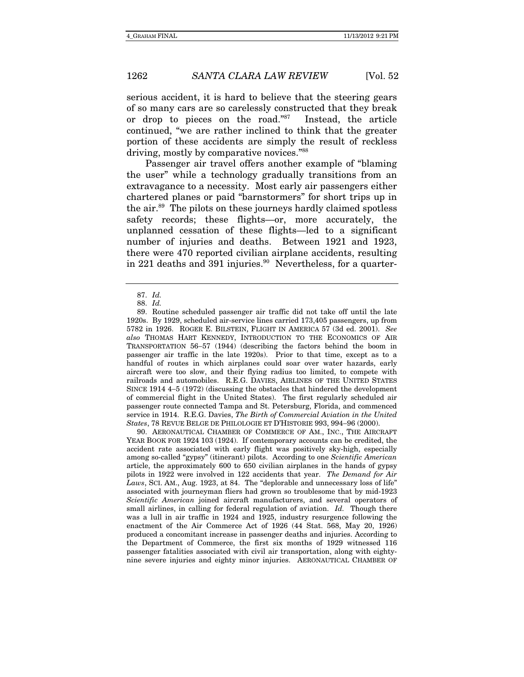serious accident, it is hard to believe that the steering gears of so many cars are so carelessly constructed that they break or drop to pieces on the road."87 Instead, the article continued, "we are rather inclined to think that the greater portion of these accidents are simply the result of reckless driving, mostly by comparative novices."88

Passenger air travel offers another example of "blaming the user" while a technology gradually transitions from an extravagance to a necessity. Most early air passengers either chartered planes or paid "barnstormers" for short trips up in the air.89 The pilots on these journeys hardly claimed spotless safety records; these flights—or, more accurately, the unplanned cessation of these flights—led to a significant number of injuries and deaths. Between 1921 and 1923, there were 470 reported civilian airplane accidents, resulting in 221 deaths and 391 injuries. $90$  Nevertheless, for a quarter-

 90. AERONAUTICAL CHAMBER OF COMMERCE OF AM., INC., THE AIRCRAFT YEAR BOOK FOR 1924 103 (1924). If contemporary accounts can be credited, the accident rate associated with early flight was positively sky-high, especially among so-called "gypsy" (itinerant) pilots. According to one Scientific American article, the approximately 600 to 650 civilian airplanes in the hands of gypsy pilots in 1922 were involved in 122 accidents that year. The Demand for Air Laws, SCI. AM., Aug. 1923, at 84. The "deplorable and unnecessary loss of life" associated with journeyman fliers had grown so troublesome that by mid-1923 Scientific American joined aircraft manufacturers, and several operators of small airlines, in calling for federal regulation of aviation. Id. Though there was a lull in air traffic in 1924 and 1925, industry resurgence following the enactment of the Air Commerce Act of 1926 (44 Stat. 568, May 20, 1926) produced a concomitant increase in passenger deaths and injuries. According to the Department of Commerce, the first six months of 1929 witnessed 116 passenger fatalities associated with civil air transportation, along with eightynine severe injuries and eighty minor injuries. AERONAUTICAL CHAMBER OF

<sup>87.</sup> Id.

<sup>88.</sup> Id.

 <sup>89.</sup> Routine scheduled passenger air traffic did not take off until the late 1920s. By 1929, scheduled air-service lines carried 173,405 passengers, up from 5782 in 1926. ROGER E. BILSTEIN, FLIGHT IN AMERICA 57 (3d ed. 2001). See also THOMAS HART KENNEDY, INTRODUCTION TO THE ECONOMICS OF AIR TRANSPORTATION 56-57 (1944) (describing the factors behind the boom in passenger air traffic in the late 1920s). Prior to that time, except as to a handful of routes in which airplanes could soar over water hazards, early aircraft were too slow, and their flying radius too limited, to compete with railroads and automobiles. R.E.G. DAVIES, AIRLINES OF THE UNITED STATES SINCE 1914 45 (1972) (discussing the obstacles that hindered the development of commercial flight in the United States). The first regularly scheduled air passenger route connected Tampa and St. Petersburg, Florida, and commenced service in 1914. R.E.G. Davies, The Birth of Commercial Aviation in the United States, 78 REVUE BELGE DE PHILOLOGIE ET D'HISTORIE 993, 994-96 (2000).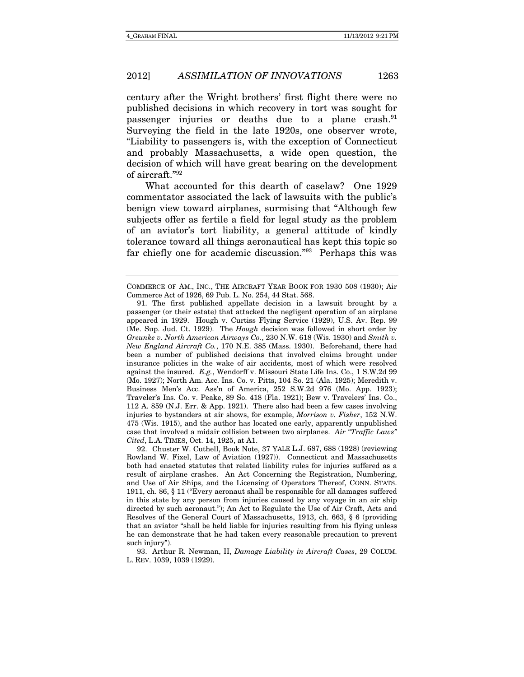century after the Wright brothers' first flight there were no published decisions in which recovery in tort was sought for passenger injuries or deaths due to a plane crash.<sup>91</sup> Surveying the field in the late 1920s, one observer wrote, "Liability to passengers is, with the exception of Connecticut and probably Massachusetts, a wide open question, the decision of which will have great bearing on the development of aircraft."92

What accounted for this dearth of caselaw? One 1929 commentator associated the lack of lawsuits with the public's benign view toward airplanes, surmising that "Although few subjects offer as fertile a field for legal study as the problem of an aviator's tort liability, a general attitude of kindly tolerance toward all things aeronautical has kept this topic so far chiefly one for academic discussion."93 Perhaps this was

COMMERCE OF AM., INC., THE AIRCRAFT YEAR BOOK FOR 1930 508 (1930); Air Commerce Act of 1926, 69 Pub. L. No. 254, 44 Stat. 568.

 <sup>91.</sup> The first published appellate decision in a lawsuit brought by a passenger (or their estate) that attacked the negligent operation of an airplane appeared in 1929. Hough v. Curtiss Flying Service (1929), U.S. Av. Rep. 99 (Me. Sup. Jud. Ct. 1929). The Hough decision was followed in short order by Greunke v. North American Airways Co., 230 N.W. 618 (Wis. 1930) and Smith v. New England Aircraft Co., 170 N.E. 385 (Mass. 1930). Beforehand, there had been a number of published decisions that involved claims brought under insurance policies in the wake of air accidents, most of which were resolved against the insured. E.g., Wendorff v. Missouri State Life Ins. Co., 1 S.W.2d 99 (Mo. 1927); North Am. Acc. Ins. Co. v. Pitts, 104 So. 21 (Ala. 1925); Meredith v. Business Men's Acc. Ass'n of America, 252 S.W.2d 976 (Mo. App. 1923); Traveler's Ins. Co. v. Peake, 89 So. 418 (Fla. 1921); Bew v. Travelers' Ins. Co., 112 A. 859 (N.J. Err. & App. 1921). There also had been a few cases involving injuries to bystanders at air shows, for example, Morrison v. Fisher, 152 N.W. 475 (Wis. 1915), and the author has located one early, apparently unpublished case that involved a midair collision between two airplanes. Air "Traffic Laws" Cited, L.A. TIMES, Oct. 14, 1925, at A1.

 <sup>92.</sup> Chuster W. Cuthell, Book Note, 37 YALE L.J. 687, 688 (1928) (reviewing Rowland W. Fixel, Law of Aviation (1927)). Connecticut and Massachusetts both had enacted statutes that related liability rules for injuries suffered as a result of airplane crashes. An Act Concerning the Registration, Numbering, and Use of Air Ships, and the Licensing of Operators Thereof, CONN. STATS. 1911, ch. 86, § 11 ("Every aeronaut shall be responsible for all damages suffered in this state by any person from injuries caused by any voyage in an air ship directed by such aeronaut."); An Act to Regulate the Use of Air Craft, Acts and Resolves of the General Court of Massachusetts, 1913, ch. 663, § 6 (providing that an aviator "shall be held liable for injuries resulting from his flying unless he can demonstrate that he had taken every reasonable precaution to prevent such injury").

 <sup>93.</sup> Arthur R. Newman, II, Damage Liability in Aircraft Cases, 29 COLUM. L. REV. 1039, 1039 (1929).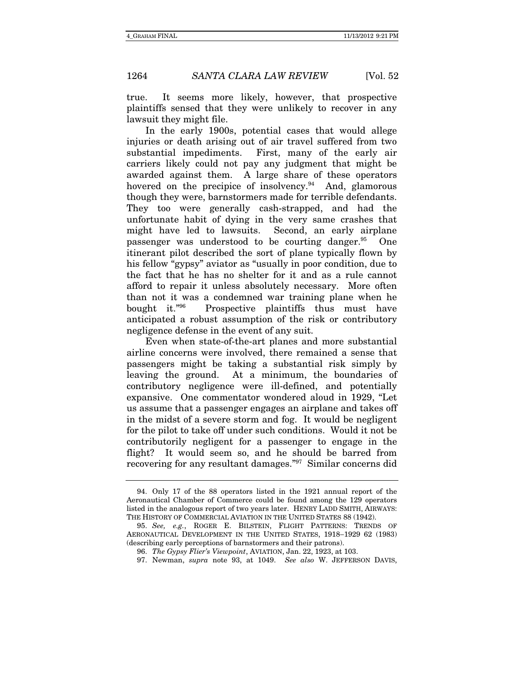true. It seems more likely, however, that prospective plaintiffs sensed that they were unlikely to recover in any lawsuit they might file.

In the early 1900s, potential cases that would allege injuries or death arising out of air travel suffered from two substantial impediments. First, many of the early air carriers likely could not pay any judgment that might be awarded against them. A large share of these operators hovered on the precipice of insolvency.<sup>94</sup> And, glamorous though they were, barnstormers made for terrible defendants. They too were generally cash-strapped, and had the unfortunate habit of dying in the very same crashes that might have led to lawsuits. Second, an early airplane passenger was understood to be courting danger.<sup>95</sup> One itinerant pilot described the sort of plane typically flown by his fellow "gypsy" aviator as "usually in poor condition, due to the fact that he has no shelter for it and as a rule cannot afford to repair it unless absolutely necessary. More often than not it was a condemned war training plane when he bought it."96 Prospective plaintiffs thus must have anticipated a robust assumption of the risk or contributory negligence defense in the event of any suit.

Even when state-of-the-art planes and more substantial airline concerns were involved, there remained a sense that passengers might be taking a substantial risk simply by leaving the ground. At a minimum, the boundaries of contributory negligence were ill-defined, and potentially expansive. One commentator wondered aloud in 1929, "Let us assume that a passenger engages an airplane and takes off in the midst of a severe storm and fog. It would be negligent for the pilot to take off under such conditions. Would it not be contributorily negligent for a passenger to engage in the flight? It would seem so, and he should be barred from recovering for any resultant damages."97 Similar concerns did

 <sup>94.</sup> Only 17 of the 88 operators listed in the 1921 annual report of the Aeronautical Chamber of Commerce could be found among the 129 operators listed in the analogous report of two years later. HENRY LADD SMITH, AIRWAYS: THE HISTORY OF COMMERCIAL AVIATION IN THE UNITED STATES 88 (1942).

<sup>95.</sup> See, e.g., ROGER E. BILSTEIN, FLIGHT PATTERNS: TRENDS OF AERONAUTICAL DEVELOPMENT IN THE UNITED STATES, 1918-1929 62 (1983) (describing early perceptions of barnstormers and their patrons).

<sup>96.</sup> The Gypsy Flier's Viewpoint, AVIATION, Jan. 22, 1923, at 103.

 <sup>97.</sup> Newman, supra note 93, at 1049. See also W. JEFFERSON DAVIS,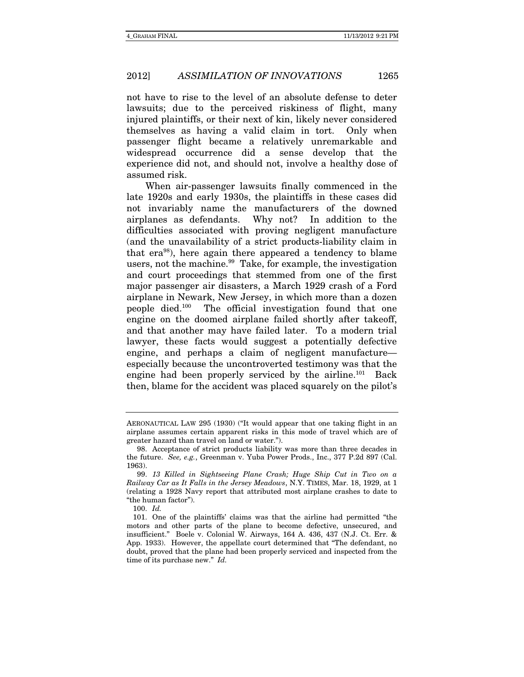not have to rise to the level of an absolute defense to deter lawsuits; due to the perceived riskiness of flight, many injured plaintiffs, or their next of kin, likely never considered themselves as having a valid claim in tort. Only when passenger flight became a relatively unremarkable and widespread occurrence did a sense develop that the experience did not, and should not, involve a healthy dose of assumed risk.

When air-passenger lawsuits finally commenced in the late 1920s and early 1930s, the plaintiffs in these cases did not invariably name the manufacturers of the downed airplanes as defendants. Why not? In addition to the difficulties associated with proving negligent manufacture (and the unavailability of a strict products-liability claim in that era98), here again there appeared a tendency to blame users, not the machine.<sup>99</sup> Take, for example, the investigation and court proceedings that stemmed from one of the first major passenger air disasters, a March 1929 crash of a Ford airplane in Newark, New Jersey, in which more than a dozen people died.100 The official investigation found that one engine on the doomed airplane failed shortly after takeoff, and that another may have failed later. To a modern trial lawyer, these facts would suggest a potentially defective engine, and perhaps a claim of negligent manufacture especially because the uncontroverted testimony was that the engine had been properly serviced by the airline.<sup>101</sup> Back then, blame for the accident was placed squarely on the pilot's

AERONAUTICAL LAW 295 (1930) ("It would appear that one taking flight in an airplane assumes certain apparent risks in this mode of travel which are of greater hazard than travel on land or water.").

 <sup>98.</sup> Acceptance of strict products liability was more than three decades in the future. See, e.g., Greenman v. Yuba Power Prods., Inc., 377 P.2d 897 (Cal. 1963).

<sup>99.</sup> 13 Killed in Sightseeing Plane Crash; Huge Ship Cut in Two on a Railway Car as It Falls in the Jersey Meadows, N.Y. TIMES, Mar. 18, 1929, at 1 (relating a 1928 Navy report that attributed most airplane crashes to date to "the human factor").

 $100 \text{ Id}$ 

 <sup>101.</sup> One of the plaintiffs' claims was that the airline had permitted "the motors and other parts of the plane to become defective, unsecured, and insufficient." Boele v. Colonial W. Airways, 164 A. 436, 437 (N.J. Ct. Err. & App. 1933). However, the appellate court determined that "The defendant, no doubt, proved that the plane had been properly serviced and inspected from the time of its purchase new." Id.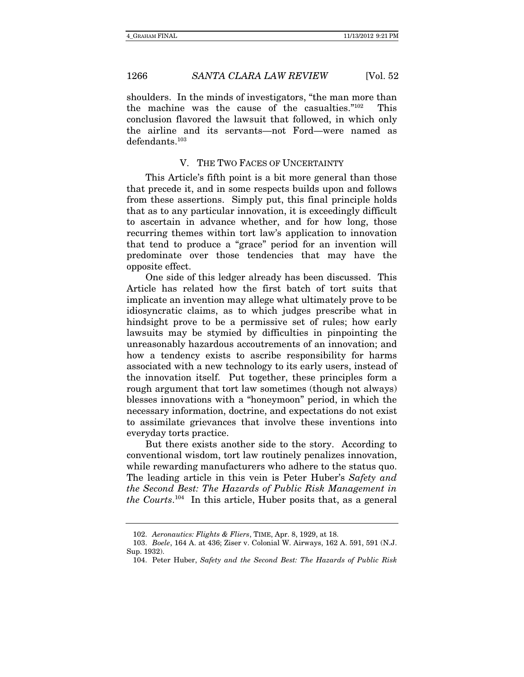shoulders. In the minds of investigators, "the man more than the machine was the cause of the casualties."102 This conclusion flavored the lawsuit that followed, in which only the airline and its servants—not Ford—were named as defendants.103

#### V. THE TWO FACES OF UNCERTAINTY

This Article's fifth point is a bit more general than those that precede it, and in some respects builds upon and follows from these assertions. Simply put, this final principle holds that as to any particular innovation, it is exceedingly difficult to ascertain in advance whether, and for how long, those recurring themes within tort law's application to innovation that tend to produce a "grace" period for an invention will predominate over those tendencies that may have the opposite effect.

One side of this ledger already has been discussed. This Article has related how the first batch of tort suits that implicate an invention may allege what ultimately prove to be idiosyncratic claims, as to which judges prescribe what in hindsight prove to be a permissive set of rules; how early lawsuits may be stymied by difficulties in pinpointing the unreasonably hazardous accoutrements of an innovation; and how a tendency exists to ascribe responsibility for harms associated with a new technology to its early users, instead of the innovation itself. Put together, these principles form a rough argument that tort law sometimes (though not always) blesses innovations with a "honeymoon" period, in which the necessary information, doctrine, and expectations do not exist to assimilate grievances that involve these inventions into everyday torts practice.

But there exists another side to the story. According to conventional wisdom, tort law routinely penalizes innovation, while rewarding manufacturers who adhere to the status quo. The leading article in this vein is Peter Huber's Safety and the Second Best: The Hazards of Public Risk Management in the Courts. <sup>104</sup> In this article, Huber posits that, as a general

<sup>102.</sup> Aeronautics: Flights & Fliers, TIME, Apr. 8, 1929, at 18.

 <sup>103.</sup> Boele, 164 A. at 436; Ziser v. Colonial W. Airways, 162 A. 591, 591 (N.J. Sup. 1932).

 <sup>104.</sup> Peter Huber, Safety and the Second Best: The Hazards of Public Risk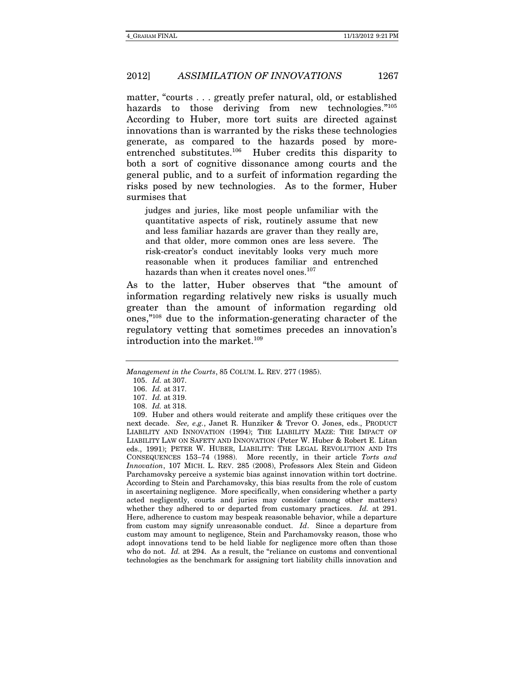matter, "courts . . . greatly prefer natural, old, or established hazards to those deriving from new technologies."105 According to Huber, more tort suits are directed against innovations than is warranted by the risks these technologies generate, as compared to the hazards posed by moreentrenched substitutes.106 Huber credits this disparity to both a sort of cognitive dissonance among courts and the general public, and to a surfeit of information regarding the risks posed by new technologies. As to the former, Huber surmises that

judges and juries, like most people unfamiliar with the quantitative aspects of risk, routinely assume that new and less familiar hazards are graver than they really are, and that older, more common ones are less severe. The risk-creator's conduct inevitably looks very much more reasonable when it produces familiar and entrenched hazards than when it creates novel ones.<sup>107</sup>

As to the latter, Huber observes that "the amount of information regarding relatively new risks is usually much greater than the amount of information regarding old ones,"108 due to the information-generating character of the regulatory vetting that sometimes precedes an innovation's introduction into the market.<sup>109</sup>

Management in the Courts, 85 COLUM. L. REV. 277 (1985).

<sup>105.</sup> Id. at 307.

<sup>106.</sup> Id. at 317.

<sup>107.</sup> Id. at 319.

<sup>108.</sup> Id. at 318.

 <sup>109.</sup> Huber and others would reiterate and amplify these critiques over the next decade. See, e.g., Janet R. Hunziker & Trevor O. Jones, eds., PRODUCT LIABILITY AND INNOVATION (1994); THE LIABILITY MAZE: THE IMPACT OF LIABILITY LAW ON SAFETY AND INNOVATION (Peter W. Huber & Robert E. Litan eds., 1991); PETER W. HUBER, LIABILITY: THE LEGAL REVOLUTION AND ITS CONSEQUENCES 153-74 (1988). More recently, in their article Torts and Innovation, 107 MICH. L. REV. 285 (2008), Professors Alex Stein and Gideon Parchamovsky perceive a systemic bias against innovation within tort doctrine. According to Stein and Parchamovsky, this bias results from the role of custom in ascertaining negligence. More specifically, when considering whether a party acted negligently, courts and juries may consider (among other matters) whether they adhered to or departed from customary practices. Id. at 291. Here, adherence to custom may bespeak reasonable behavior, while a departure from custom may signify unreasonable conduct. Id. Since a departure from custom may amount to negligence, Stein and Parchamovsky reason, those who adopt innovations tend to be held liable for negligence more often than those who do not. Id. at 294. As a result, the "reliance on customs and conventional technologies as the benchmark for assigning tort liability chills innovation and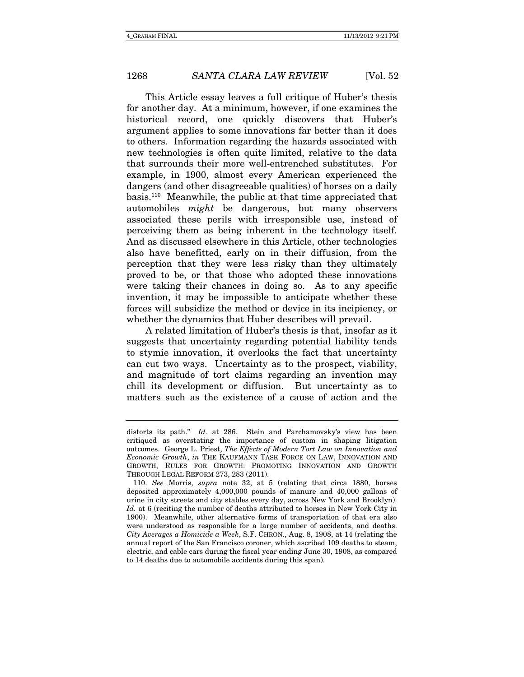This Article essay leaves a full critique of Huber's thesis for another day. At a minimum, however, if one examines the historical record, one quickly discovers that Huber's argument applies to some innovations far better than it does to others. Information regarding the hazards associated with new technologies is often quite limited, relative to the data that surrounds their more well-entrenched substitutes. For example, in 1900, almost every American experienced the dangers (and other disagreeable qualities) of horses on a daily basis.110 Meanwhile, the public at that time appreciated that automobiles might be dangerous, but many observers associated these perils with irresponsible use, instead of perceiving them as being inherent in the technology itself. And as discussed elsewhere in this Article, other technologies also have benefitted, early on in their diffusion, from the perception that they were less risky than they ultimately proved to be, or that those who adopted these innovations were taking their chances in doing so. As to any specific invention, it may be impossible to anticipate whether these forces will subsidize the method or device in its incipiency, or whether the dynamics that Huber describes will prevail.

A related limitation of Huber's thesis is that, insofar as it suggests that uncertainty regarding potential liability tends to stymie innovation, it overlooks the fact that uncertainty can cut two ways. Uncertainty as to the prospect, viability, and magnitude of tort claims regarding an invention may chill its development or diffusion. But uncertainty as to matters such as the existence of a cause of action and the

distorts its path." Id. at 286. Stein and Parchamovsky's view has been critiqued as overstating the importance of custom in shaping litigation outcomes. George L. Priest, The Effects of Modern Tort Law on Innovation and Economic Growth, in THE KAUFMANN TASK FORCE ON LAW, INNOVATION AND GROWTH, RULES FOR GROWTH: PROMOTING INNOVATION AND GROWTH THROUGH LEGAL REFORM 273, 283 (2011).

<sup>110.</sup> See Morris, supra note 32, at 5 (relating that circa 1880, horses deposited approximately 4,000,000 pounds of manure and 40,000 gallons of urine in city streets and city stables every day, across New York and Brooklyn). Id. at 6 (reciting the number of deaths attributed to horses in New York City in 1900). Meanwhile, other alternative forms of transportation of that era also were understood as responsible for a large number of accidents, and deaths. City Averages a Homicide a Week, S.F. CHRON., Aug. 8, 1908, at 14 (relating the annual report of the San Francisco coroner, which ascribed 109 deaths to steam, electric, and cable cars during the fiscal year ending June 30, 1908, as compared to 14 deaths due to automobile accidents during this span).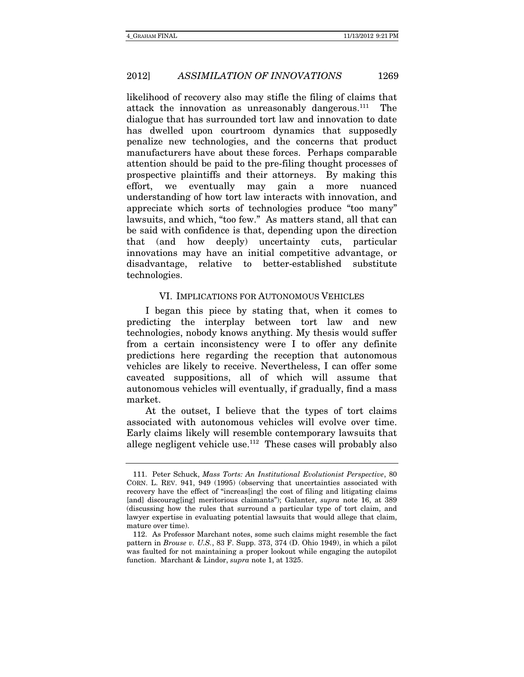likelihood of recovery also may stifle the filing of claims that attack the innovation as unreasonably dangerous. $111$  The dialogue that has surrounded tort law and innovation to date has dwelled upon courtroom dynamics that supposedly penalize new technologies, and the concerns that product manufacturers have about these forces. Perhaps comparable attention should be paid to the pre-filing thought processes of prospective plaintiffs and their attorneys. By making this effort, we eventually may gain a more nuanced understanding of how tort law interacts with innovation, and appreciate which sorts of technologies produce "too many" lawsuits, and which, "too few." As matters stand, all that can be said with confidence is that, depending upon the direction that (and how deeply) uncertainty cuts, particular innovations may have an initial competitive advantage, or disadvantage, relative to better-established substitute technologies.

#### VI. IMPLICATIONS FOR AUTONOMOUS VEHICLES

I began this piece by stating that, when it comes to predicting the interplay between tort law and new technologies, nobody knows anything. My thesis would suffer from a certain inconsistency were I to offer any definite predictions here regarding the reception that autonomous vehicles are likely to receive. Nevertheless, I can offer some caveated suppositions, all of which will assume that autonomous vehicles will eventually, if gradually, find a mass market.

At the outset, I believe that the types of tort claims associated with autonomous vehicles will evolve over time. Early claims likely will resemble contemporary lawsuits that allege negligent vehicle use. $112$  These cases will probably also

 <sup>111.</sup> Peter Schuck, Mass Torts: An Institutional Evolutionist Perspective, 80 CORN. L. REV. 941, 949 (1995) (observing that uncertainties associated with recovery have the effect of "increas[ing] the cost of filing and litigating claims [and] discourag[ing] meritorious claimants"); Galanter, *supra* note 16, at 389 (discussing how the rules that surround a particular type of tort claim, and lawyer expertise in evaluating potential lawsuits that would allege that claim, mature over time).

 <sup>112.</sup> As Professor Marchant notes, some such claims might resemble the fact pattern in Brouse v. U.S., 83 F. Supp. 373, 374 (D. Ohio 1949), in which a pilot was faulted for not maintaining a proper lookout while engaging the autopilot function. Marchant & Lindor, supra note 1, at 1325.